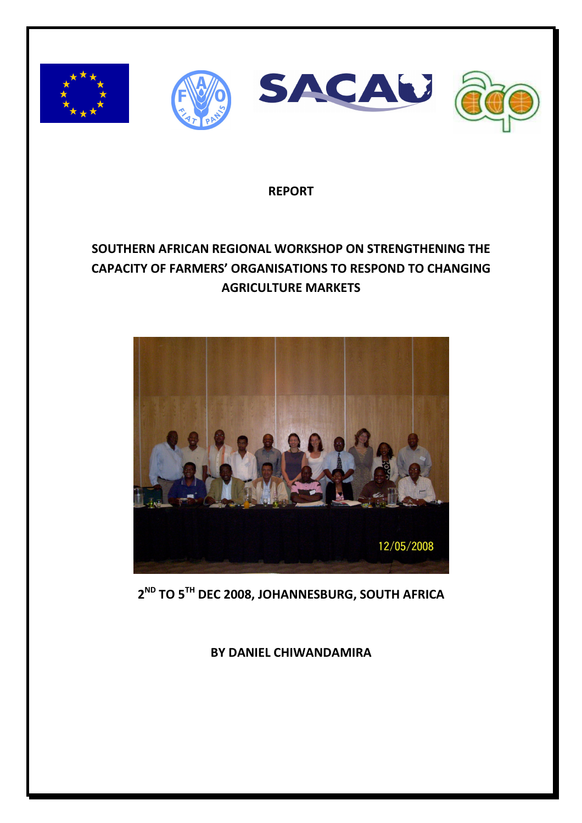

REPORT

# SOUTHERN AFRICAN REGIONAL WORKSHOP ON STRENGTHENING THE CAPACITY OF FARMERS' ORGANISATIONS TO RESPOND TO CHANGING AGRICULTURE MARKETS



2<sup>ND</sup> TO 5<sup>TH</sup> DEC 2008, JOHANNESBURG, SOUTH AFRICA

BY DANIEL CHIWANDAMIRA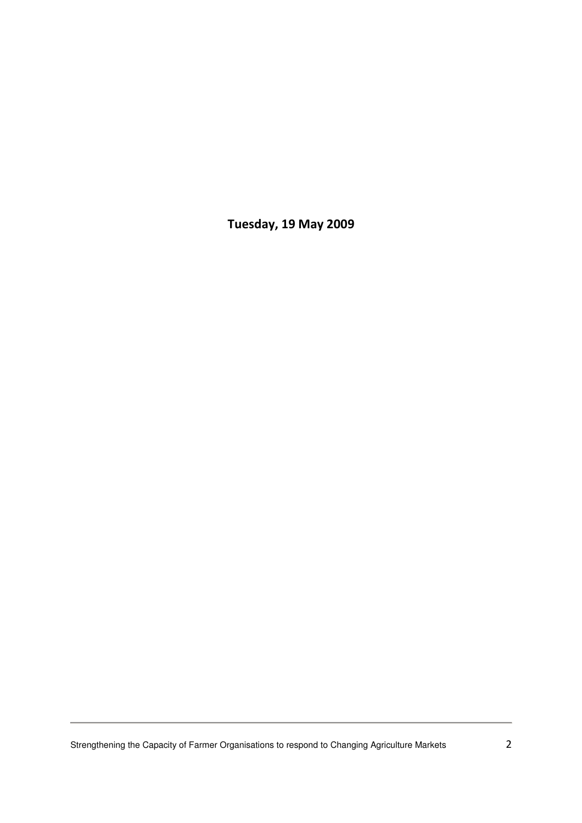Tuesday, 19 May 2009

Strengthening the Capacity of Farmer Organisations to respond to Changing Agriculture Markets 2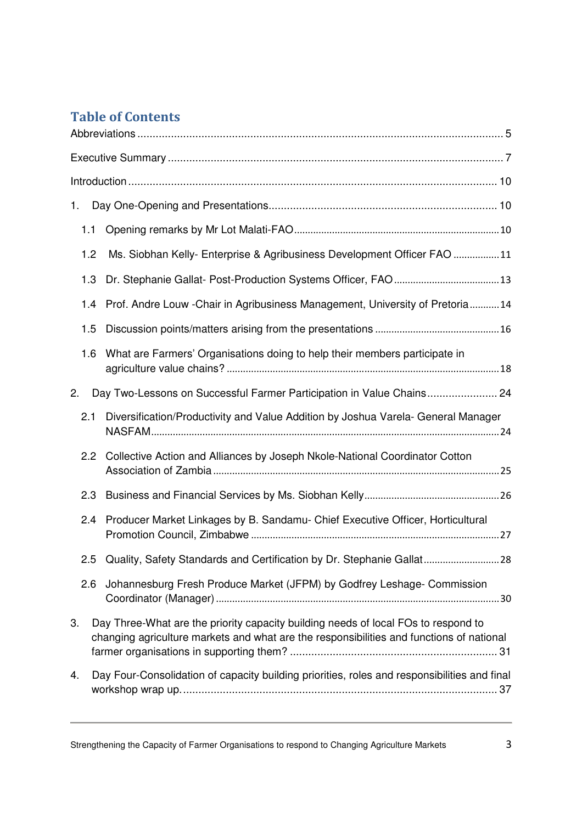# Table of Contents

| 1.  |     |                                                                                                                                                                                |  |  |  |  |  |
|-----|-----|--------------------------------------------------------------------------------------------------------------------------------------------------------------------------------|--|--|--|--|--|
| 1.1 |     |                                                                                                                                                                                |  |  |  |  |  |
| 1.2 |     | Ms. Siobhan Kelly- Enterprise & Agribusiness Development Officer FAO 11                                                                                                        |  |  |  |  |  |
| 1.3 |     |                                                                                                                                                                                |  |  |  |  |  |
| 1.4 |     | Prof. Andre Louw - Chair in Agribusiness Management, University of Pretoria14                                                                                                  |  |  |  |  |  |
| 1.5 |     |                                                                                                                                                                                |  |  |  |  |  |
| 1.6 |     | What are Farmers' Organisations doing to help their members participate in                                                                                                     |  |  |  |  |  |
| 2.  |     | Day Two-Lessons on Successful Farmer Participation in Value Chains 24                                                                                                          |  |  |  |  |  |
| 2.1 |     | Diversification/Productivity and Value Addition by Joshua Varela- General Manager                                                                                              |  |  |  |  |  |
|     | 2.2 | Collective Action and Alliances by Joseph Nkole-National Coordinator Cotton                                                                                                    |  |  |  |  |  |
| 2.3 |     |                                                                                                                                                                                |  |  |  |  |  |
| 2.4 |     | Producer Market Linkages by B. Sandamu- Chief Executive Officer, Horticultural                                                                                                 |  |  |  |  |  |
|     |     | 2.5 Quality, Safety Standards and Certification by Dr. Stephanie Gallat28                                                                                                      |  |  |  |  |  |
|     | 2.6 | Johannesburg Fresh Produce Market (JFPM) by Godfrey Leshage- Commission                                                                                                        |  |  |  |  |  |
| 3.  |     | Day Three-What are the priority capacity building needs of local FOs to respond to<br>changing agriculture markets and what are the responsibilities and functions of national |  |  |  |  |  |
| 4.  |     | Day Four-Consolidation of capacity building priorities, roles and responsibilities and final                                                                                   |  |  |  |  |  |

Strengthening the Capacity of Farmer Organisations to respond to Changing Agriculture Markets 3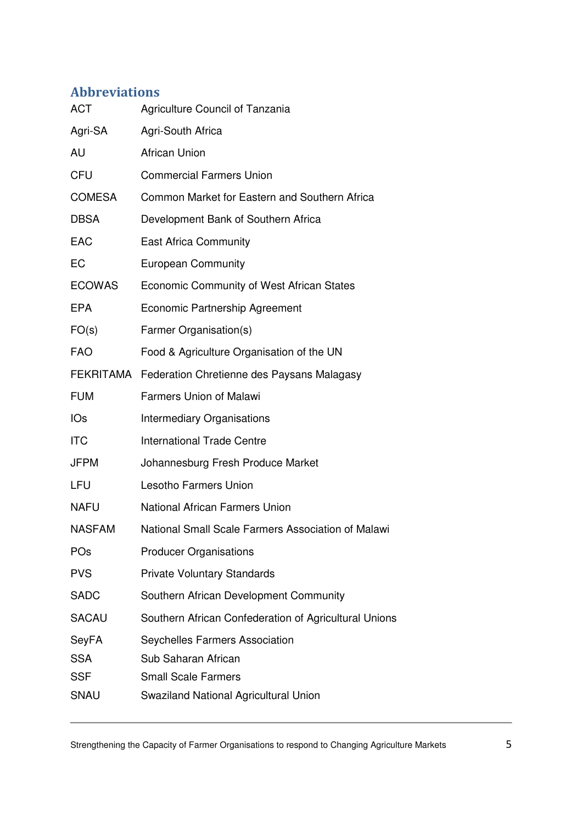# Abbreviations

| <b>ACT</b>    | Agriculture Council of Tanzania                       |
|---------------|-------------------------------------------------------|
| Agri-SA       | Agri-South Africa                                     |
| AU            | <b>African Union</b>                                  |
| CFU           | <b>Commercial Farmers Union</b>                       |
| <b>COMESA</b> | Common Market for Eastern and Southern Africa         |
| <b>DBSA</b>   | Development Bank of Southern Africa                   |
| <b>EAC</b>    | <b>East Africa Community</b>                          |
| EC            | <b>European Community</b>                             |
| <b>ECOWAS</b> | Economic Community of West African States             |
| <b>EPA</b>    | Economic Partnership Agreement                        |
| FO(s)         | Farmer Organisation(s)                                |
| <b>FAO</b>    | Food & Agriculture Organisation of the UN             |
|               | FEKRITAMA Federation Chretienne des Paysans Malagasy  |
| <b>FUM</b>    | <b>Farmers Union of Malawi</b>                        |
| <b>IOs</b>    | <b>Intermediary Organisations</b>                     |
| <b>ITC</b>    | <b>International Trade Centre</b>                     |
| <b>JFPM</b>   | Johannesburg Fresh Produce Market                     |
| LFU           | <b>Lesotho Farmers Union</b>                          |
| <b>NAFU</b>   | <b>National African Farmers Union</b>                 |
| <b>NASFAM</b> | National Small Scale Farmers Association of Malawi    |
| POs           | <b>Producer Organisations</b>                         |
| <b>PVS</b>    | <b>Private Voluntary Standards</b>                    |
| <b>SADC</b>   | Southern African Development Community                |
| SACAU         | Southern African Confederation of Agricultural Unions |
| <b>SeyFA</b>  | Seychelles Farmers Association                        |
| <b>SSA</b>    | Sub Saharan African                                   |
| <b>SSF</b>    | <b>Small Scale Farmers</b>                            |
| SNAU          | Swaziland National Agricultural Union                 |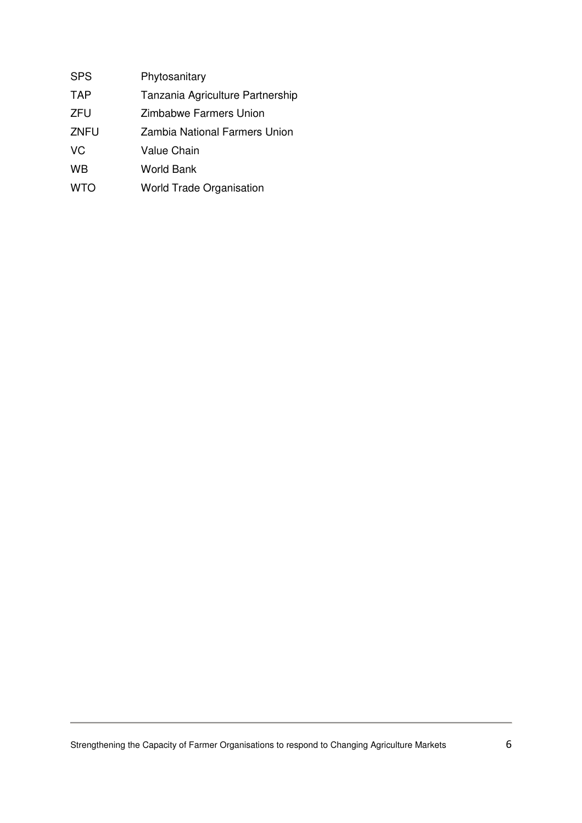| <b>SPS</b>  | Phytosanitary                    |
|-------------|----------------------------------|
| <b>TAP</b>  | Tanzania Agriculture Partnership |
| ZFU         | Zimbabwe Farmers Union           |
| <b>ZNFU</b> | Zambia National Farmers Union    |
| VC          | Value Chain                      |
| <b>WB</b>   | <b>World Bank</b>                |
| <b>WTO</b>  | <b>World Trade Organisation</b>  |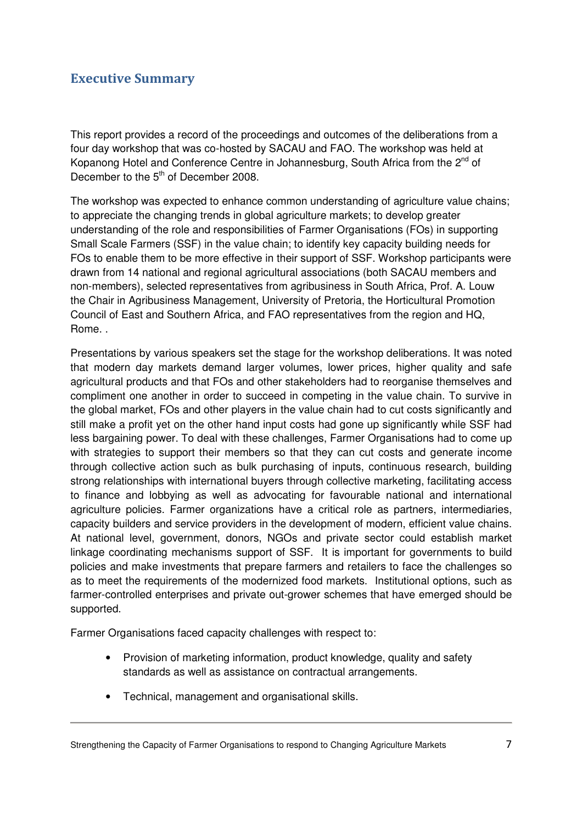# Executive Summary

This report provides a record of the proceedings and outcomes of the deliberations from a four day workshop that was co-hosted by SACAU and FAO. The workshop was held at Kopanong Hotel and Conference Centre in Johannesburg, South Africa from the  $2^{nd}$  of December to the 5<sup>th</sup> of December 2008.

The workshop was expected to enhance common understanding of agriculture value chains; to appreciate the changing trends in global agriculture markets; to develop greater understanding of the role and responsibilities of Farmer Organisations (FOs) in supporting Small Scale Farmers (SSF) in the value chain; to identify key capacity building needs for FOs to enable them to be more effective in their support of SSF. Workshop participants were drawn from 14 national and regional agricultural associations (both SACAU members and non-members), selected representatives from agribusiness in South Africa, Prof. A. Louw the Chair in Agribusiness Management, University of Pretoria, the Horticultural Promotion Council of East and Southern Africa, and FAO representatives from the region and HQ, Rome. .

Presentations by various speakers set the stage for the workshop deliberations. It was noted that modern day markets demand larger volumes, lower prices, higher quality and safe agricultural products and that FOs and other stakeholders had to reorganise themselves and compliment one another in order to succeed in competing in the value chain. To survive in the global market, FOs and other players in the value chain had to cut costs significantly and still make a profit yet on the other hand input costs had gone up significantly while SSF had less bargaining power. To deal with these challenges, Farmer Organisations had to come up with strategies to support their members so that they can cut costs and generate income through collective action such as bulk purchasing of inputs, continuous research, building strong relationships with international buyers through collective marketing, facilitating access to finance and lobbying as well as advocating for favourable national and international agriculture policies. Farmer organizations have a critical role as partners, intermediaries, capacity builders and service providers in the development of modern, efficient value chains. At national level, government, donors, NGOs and private sector could establish market linkage coordinating mechanisms support of SSF. It is important for governments to build policies and make investments that prepare farmers and retailers to face the challenges so as to meet the requirements of the modernized food markets. Institutional options, such as farmer-controlled enterprises and private out-grower schemes that have emerged should be supported.

Farmer Organisations faced capacity challenges with respect to:

- Provision of marketing information, product knowledge, quality and safety standards as well as assistance on contractual arrangements.
- Technical, management and organisational skills.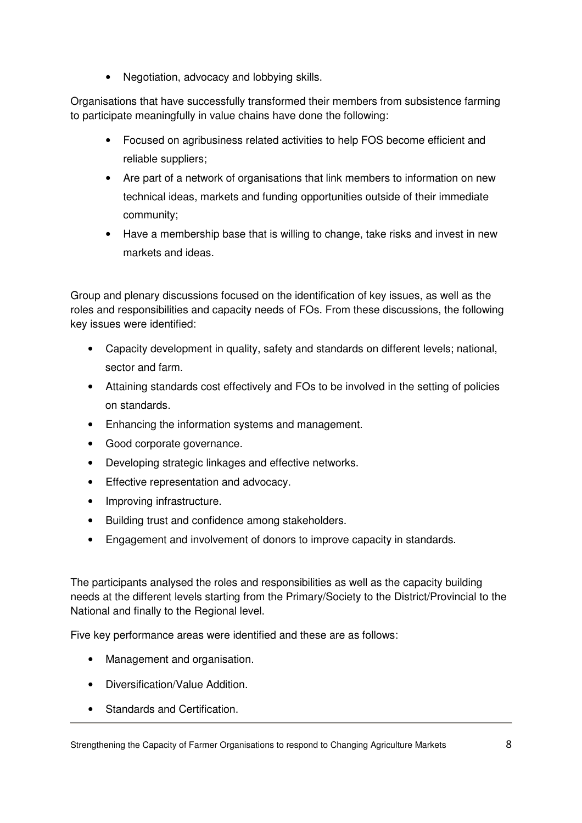• Negotiation, advocacy and lobbying skills.

Organisations that have successfully transformed their members from subsistence farming to participate meaningfully in value chains have done the following:

- Focused on agribusiness related activities to help FOS become efficient and reliable suppliers;
- Are part of a network of organisations that link members to information on new technical ideas, markets and funding opportunities outside of their immediate community;
- Have a membership base that is willing to change, take risks and invest in new markets and ideas.

Group and plenary discussions focused on the identification of key issues, as well as the roles and responsibilities and capacity needs of FOs. From these discussions, the following key issues were identified:

- Capacity development in quality, safety and standards on different levels; national, sector and farm.
- Attaining standards cost effectively and FOs to be involved in the setting of policies on standards.
- Enhancing the information systems and management.
- Good corporate governance.
- Developing strategic linkages and effective networks.
- Effective representation and advocacy.
- Improving infrastructure.
- Building trust and confidence among stakeholders.
- Engagement and involvement of donors to improve capacity in standards.

The participants analysed the roles and responsibilities as well as the capacity building needs at the different levels starting from the Primary/Society to the District/Provincial to the National and finally to the Regional level.

Five key performance areas were identified and these are as follows:

- Management and organisation.
- Diversification/Value Addition.
- Standards and Certification.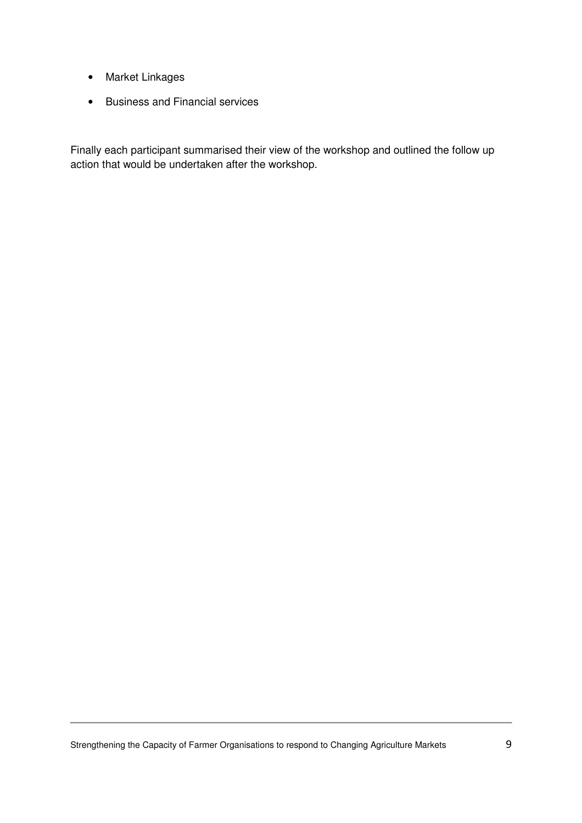- Market Linkages
- Business and Financial services

Finally each participant summarised their view of the workshop and outlined the follow up action that would be undertaken after the workshop.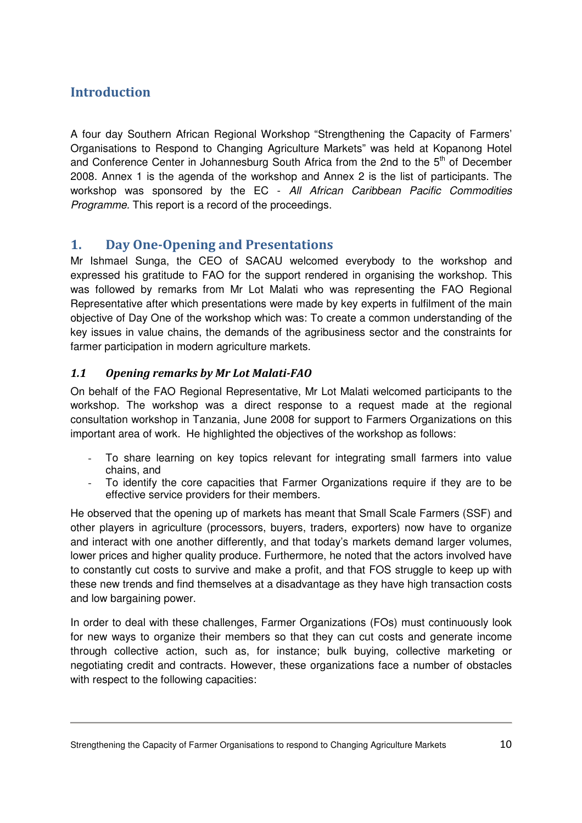# Introduction

A four day Southern African Regional Workshop "Strengthening the Capacity of Farmers' Organisations to Respond to Changing Agriculture Markets" was held at Kopanong Hotel and Conference Center in Johannesburg South Africa from the 2nd to the 5<sup>th</sup> of December 2008. Annex 1 is the agenda of the workshop and Annex 2 is the list of participants. The workshop was sponsored by the EC - All African Caribbean Pacific Commodities Programme. This report is a record of the proceedings.

# 1. Day One-Opening and Presentations

Mr Ishmael Sunga, the CEO of SACAU welcomed everybody to the workshop and expressed his gratitude to FAO for the support rendered in organising the workshop. This was followed by remarks from Mr Lot Malati who was representing the FAO Regional Representative after which presentations were made by key experts in fulfilment of the main objective of Day One of the workshop which was: To create a common understanding of the key issues in value chains, the demands of the agribusiness sector and the constraints for farmer participation in modern agriculture markets.

## 1.1 Opening remarks by Mr Lot Malati-FAO

On behalf of the FAO Regional Representative, Mr Lot Malati welcomed participants to the workshop. The workshop was a direct response to a request made at the regional consultation workshop in Tanzania, June 2008 for support to Farmers Organizations on this important area of work. He highlighted the objectives of the workshop as follows:

- To share learning on key topics relevant for integrating small farmers into value chains, and
- To identify the core capacities that Farmer Organizations require if they are to be effective service providers for their members.

He observed that the opening up of markets has meant that Small Scale Farmers (SSF) and other players in agriculture (processors, buyers, traders, exporters) now have to organize and interact with one another differently, and that today's markets demand larger volumes, lower prices and higher quality produce. Furthermore, he noted that the actors involved have to constantly cut costs to survive and make a profit, and that FOS struggle to keep up with these new trends and find themselves at a disadvantage as they have high transaction costs and low bargaining power.

In order to deal with these challenges, Farmer Organizations (FOs) must continuously look for new ways to organize their members so that they can cut costs and generate income through collective action, such as, for instance; bulk buying, collective marketing or negotiating credit and contracts. However, these organizations face a number of obstacles with respect to the following capacities: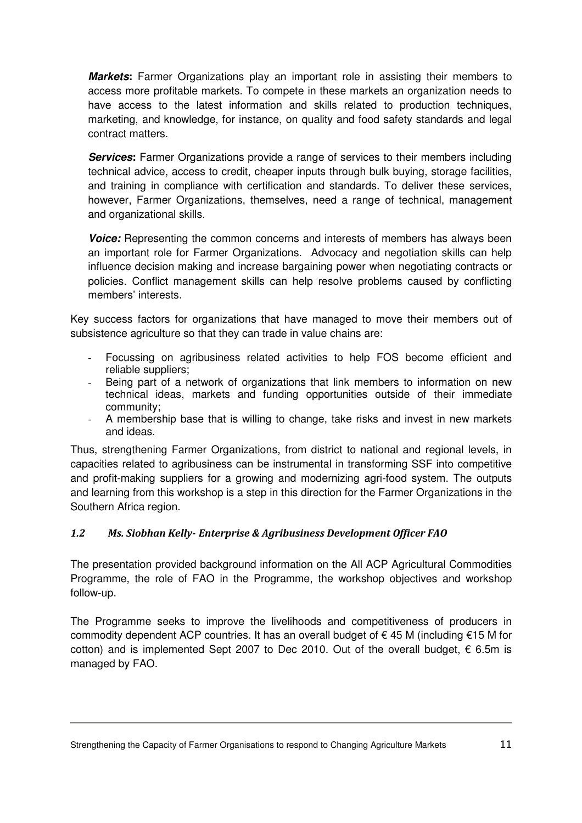**Markets:** Farmer Organizations play an important role in assisting their members to access more profitable markets. To compete in these markets an organization needs to have access to the latest information and skills related to production techniques, marketing, and knowledge, for instance, on quality and food safety standards and legal contract matters.

**Services:** Farmer Organizations provide a range of services to their members including technical advice, access to credit, cheaper inputs through bulk buying, storage facilities, and training in compliance with certification and standards. To deliver these services, however, Farmer Organizations, themselves, need a range of technical, management and organizational skills.

**Voice:** Representing the common concerns and interests of members has always been an important role for Farmer Organizations. Advocacy and negotiation skills can help influence decision making and increase bargaining power when negotiating contracts or policies. Conflict management skills can help resolve problems caused by conflicting members' interests.

Key success factors for organizations that have managed to move their members out of subsistence agriculture so that they can trade in value chains are:

- Focussing on agribusiness related activities to help FOS become efficient and reliable suppliers;
- Being part of a network of organizations that link members to information on new technical ideas, markets and funding opportunities outside of their immediate community;
- A membership base that is willing to change, take risks and invest in new markets and ideas.

Thus, strengthening Farmer Organizations, from district to national and regional levels, in capacities related to agribusiness can be instrumental in transforming SSF into competitive and profit-making suppliers for a growing and modernizing agri-food system. The outputs and learning from this workshop is a step in this direction for the Farmer Organizations in the Southern Africa region.

## 1.2 Ms. Siobhan Kelly- Enterprise & Agribusiness Development Officer FAO

The presentation provided background information on the All ACP Agricultural Commodities Programme, the role of FAO in the Programme, the workshop objectives and workshop follow-up.

The Programme seeks to improve the livelihoods and competitiveness of producers in commodity dependent ACP countries. It has an overall budget of € 45 M (including €15 M for cotton) and is implemented Sept 2007 to Dec 2010. Out of the overall budget,  $\epsilon$  6.5m is managed by FAO.

Strengthening the Capacity of Farmer Organisations to respond to Changing Agriculture Markets 11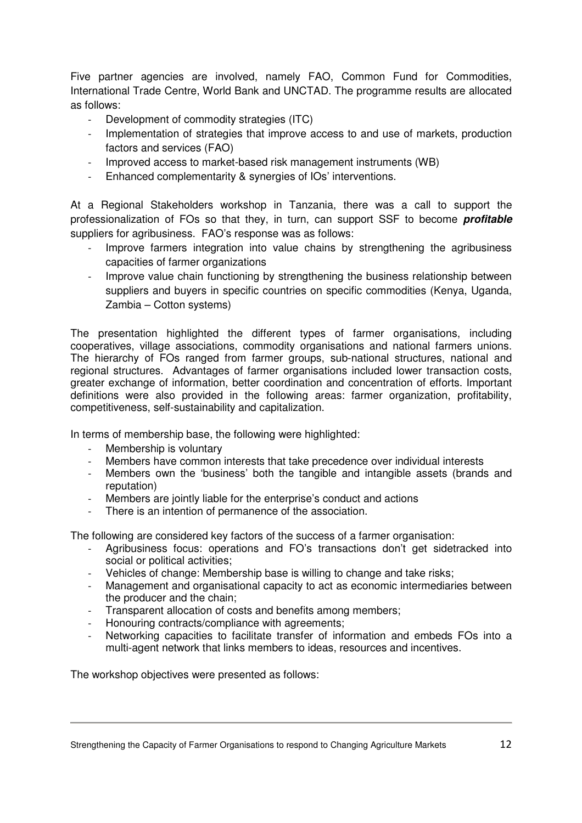Five partner agencies are involved, namely FAO, Common Fund for Commodities, International Trade Centre, World Bank and UNCTAD. The programme results are allocated as follows:

- Development of commodity strategies (ITC)
- Implementation of strategies that improve access to and use of markets, production factors and services (FAO)
- Improved access to market-based risk management instruments (WB)
- Enhanced complementarity & synergies of IOs' interventions.

At a Regional Stakeholders workshop in Tanzania, there was a call to support the professionalization of FOs so that they, in turn, can support SSF to become **profitable** suppliers for agribusiness. FAO's response was as follows:

- Improve farmers integration into value chains by strengthening the agribusiness capacities of farmer organizations
- Improve value chain functioning by strengthening the business relationship between suppliers and buyers in specific countries on specific commodities (Kenya, Uganda, Zambia – Cotton systems)

The presentation highlighted the different types of farmer organisations, including cooperatives, village associations, commodity organisations and national farmers unions. The hierarchy of FOs ranged from farmer groups, sub-national structures, national and regional structures. Advantages of farmer organisations included lower transaction costs, greater exchange of information, better coordination and concentration of efforts. Important definitions were also provided in the following areas: farmer organization, profitability, competitiveness, self-sustainability and capitalization.

In terms of membership base, the following were highlighted:

- Membership is voluntary
- Members have common interests that take precedence over individual interests
- Members own the 'business' both the tangible and intangible assets (brands and reputation)
- Members are jointly liable for the enterprise's conduct and actions
- There is an intention of permanence of the association.

The following are considered key factors of the success of a farmer organisation:

- Agribusiness focus: operations and FO's transactions don't get sidetracked into social or political activities;
- Vehicles of change: Membership base is willing to change and take risks;
- Management and organisational capacity to act as economic intermediaries between the producer and the chain;
- Transparent allocation of costs and benefits among members;
- Honouring contracts/compliance with agreements;
- Networking capacities to facilitate transfer of information and embeds FOs into a multi-agent network that links members to ideas, resources and incentives.

The workshop objectives were presented as follows: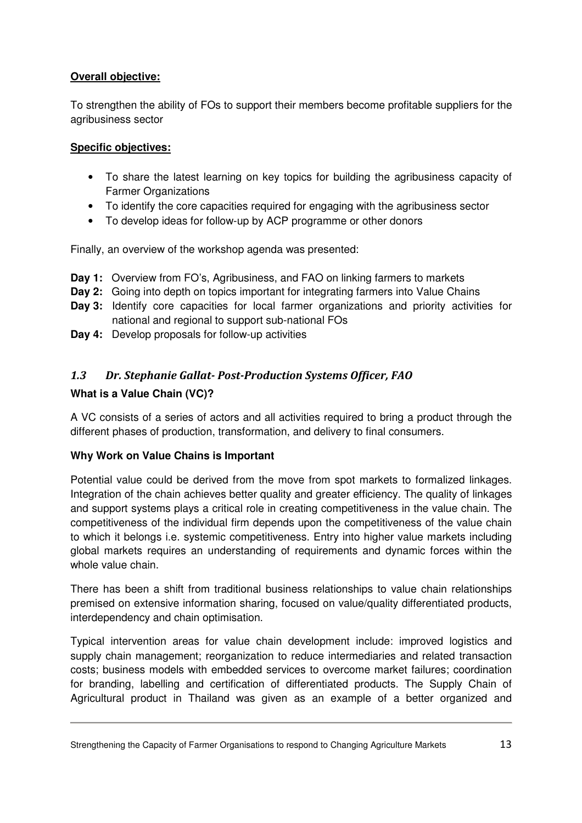## **Overall objective:**

To strengthen the ability of FOs to support their members become profitable suppliers for the agribusiness sector

## **Specific objectives:**

- To share the latest learning on key topics for building the agribusiness capacity of Farmer Organizations
- To identify the core capacities required for engaging with the agribusiness sector
- To develop ideas for follow-up by ACP programme or other donors

Finally, an overview of the workshop agenda was presented:

- **Day 1:** Overview from FO's, Agribusiness, and FAO on linking farmers to markets
- **Day 2:** Going into depth on topics important for integrating farmers into Value Chains
- **Day 3:** Identify core capacities for local farmer organizations and priority activities for national and regional to support sub-national FOs
- **Day 4:** Develop proposals for follow-up activities

## 1.3 Dr. Stephanie Gallat- Post-Production Systems Officer, FAO

## **What is a Value Chain (VC)?**

A VC consists of a series of actors and all activities required to bring a product through the different phases of production, transformation, and delivery to final consumers.

## **Why Work on Value Chains is Important**

Potential value could be derived from the move from spot markets to formalized linkages. Integration of the chain achieves better quality and greater efficiency. The quality of linkages and support systems plays a critical role in creating competitiveness in the value chain. The competitiveness of the individual firm depends upon the competitiveness of the value chain to which it belongs i.e. systemic competitiveness. Entry into higher value markets including global markets requires an understanding of requirements and dynamic forces within the whole value chain.

There has been a shift from traditional business relationships to value chain relationships premised on extensive information sharing, focused on value/quality differentiated products, interdependency and chain optimisation.

Typical intervention areas for value chain development include: improved logistics and supply chain management; reorganization to reduce intermediaries and related transaction costs; business models with embedded services to overcome market failures; coordination for branding, labelling and certification of differentiated products. The Supply Chain of Agricultural product in Thailand was given as an example of a better organized and

Strengthening the Capacity of Farmer Organisations to respond to Changing Agriculture Markets 13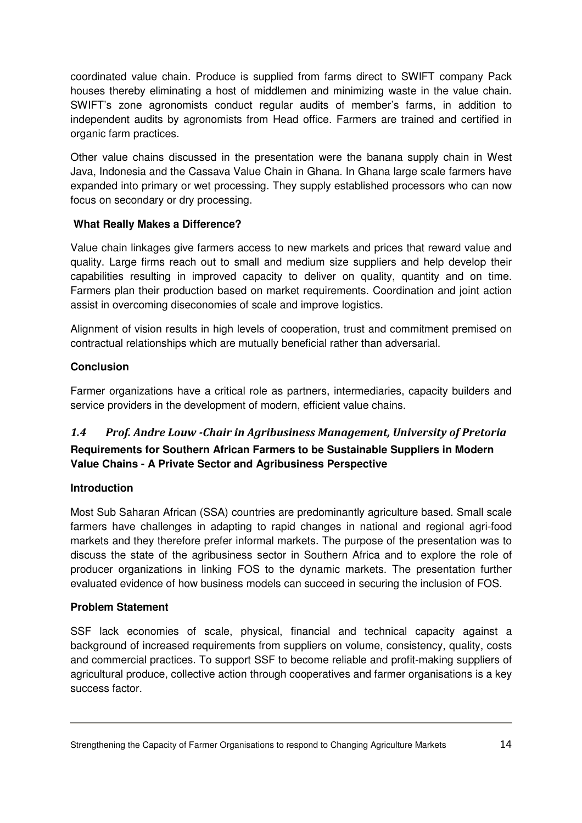coordinated value chain. Produce is supplied from farms direct to SWIFT company Pack houses thereby eliminating a host of middlemen and minimizing waste in the value chain. SWIFT's zone agronomists conduct regular audits of member's farms, in addition to independent audits by agronomists from Head office. Farmers are trained and certified in organic farm practices.

Other value chains discussed in the presentation were the banana supply chain in West Java, Indonesia and the Cassava Value Chain in Ghana. In Ghana large scale farmers have expanded into primary or wet processing. They supply established processors who can now focus on secondary or dry processing.

## **What Really Makes a Difference?**

Value chain linkages give farmers access to new markets and prices that reward value and quality. Large firms reach out to small and medium size suppliers and help develop their capabilities resulting in improved capacity to deliver on quality, quantity and on time. Farmers plan their production based on market requirements. Coordination and joint action assist in overcoming diseconomies of scale and improve logistics.

Alignment of vision results in high levels of cooperation, trust and commitment premised on contractual relationships which are mutually beneficial rather than adversarial.

## **Conclusion**

Farmer organizations have a critical role as partners, intermediaries, capacity builders and service providers in the development of modern, efficient value chains.

## 1.4 Prof. Andre Louw -Chair in Agribusiness Management, University of Pretoria **Requirements for Southern African Farmers to be Sustainable Suppliers in Modern Value Chains - A Private Sector and Agribusiness Perspective**

#### **Introduction**

Most Sub Saharan African (SSA) countries are predominantly agriculture based. Small scale farmers have challenges in adapting to rapid changes in national and regional agri-food markets and they therefore prefer informal markets. The purpose of the presentation was to discuss the state of the agribusiness sector in Southern Africa and to explore the role of producer organizations in linking FOS to the dynamic markets. The presentation further evaluated evidence of how business models can succeed in securing the inclusion of FOS.

#### **Problem Statement**

SSF lack economies of scale, physical, financial and technical capacity against a background of increased requirements from suppliers on volume, consistency, quality, costs and commercial practices. To support SSF to become reliable and profit-making suppliers of agricultural produce, collective action through cooperatives and farmer organisations is a key success factor.

Strengthening the Capacity of Farmer Organisations to respond to Changing Agriculture Markets 14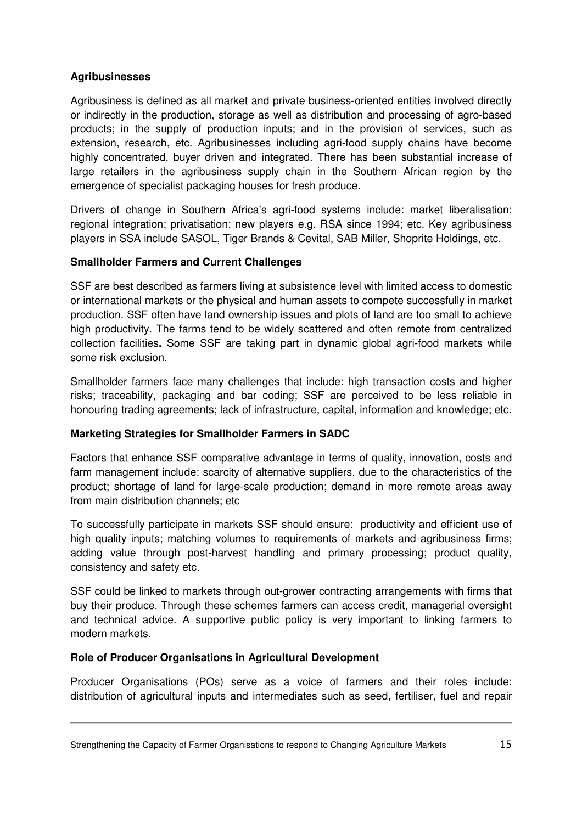#### **Agribusinesses**

Agribusiness is defined as all market and private business-oriented entities involved directly or indirectly in the production, storage as well as distribution and processing of agro-based products; in the supply of production inputs; and in the provision of services, such as extension, research, etc. Agribusinesses including agri-food supply chains have become highly concentrated, buyer driven and integrated. There has been substantial increase of large retailers in the agribusiness supply chain in the Southern African region by the emergence of specialist packaging houses for fresh produce.

Drivers of change in Southern Africa's agri-food systems include: market liberalisation; regional integration; privatisation; new players e.g. RSA since 1994; etc. Key agribusiness players in SSA include SASOL, Tiger Brands & Cevital, SAB Miller, Shoprite Holdings, etc.

#### **Smallholder Farmers and Current Challenges**

SSF are best described as farmers living at subsistence level with limited access to domestic or international markets or the physical and human assets to compete successfully in market production. SSF often have land ownership issues and plots of land are too small to achieve high productivity. The farms tend to be widely scattered and often remote from centralized collection facilities**.** Some SSF are taking part in dynamic global agri-food markets while some risk exclusion.

Smallholder farmers face many challenges that include: high transaction costs and higher risks; traceability, packaging and bar coding; SSF are perceived to be less reliable in honouring trading agreements; lack of infrastructure, capital, information and knowledge; etc.

#### **Marketing Strategies for Smallholder Farmers in SADC**

Factors that enhance SSF comparative advantage in terms of quality, innovation, costs and farm management include: scarcity of alternative suppliers, due to the characteristics of the product; shortage of land for large-scale production; demand in more remote areas away from main distribution channels; etc

To successfully participate in markets SSF should ensure: productivity and efficient use of high quality inputs; matching volumes to requirements of markets and agribusiness firms; adding value through post-harvest handling and primary processing; product quality, consistency and safety etc.

SSF could be linked to markets through out-grower contracting arrangements with firms that buy their produce. Through these schemes farmers can access credit, managerial oversight and technical advice. A supportive public policy is very important to linking farmers to modern markets.

#### **Role of Producer Organisations in Agricultural Development**

Producer Organisations (POs) serve as a voice of farmers and their roles include: distribution of agricultural inputs and intermediates such as seed, fertiliser, fuel and repair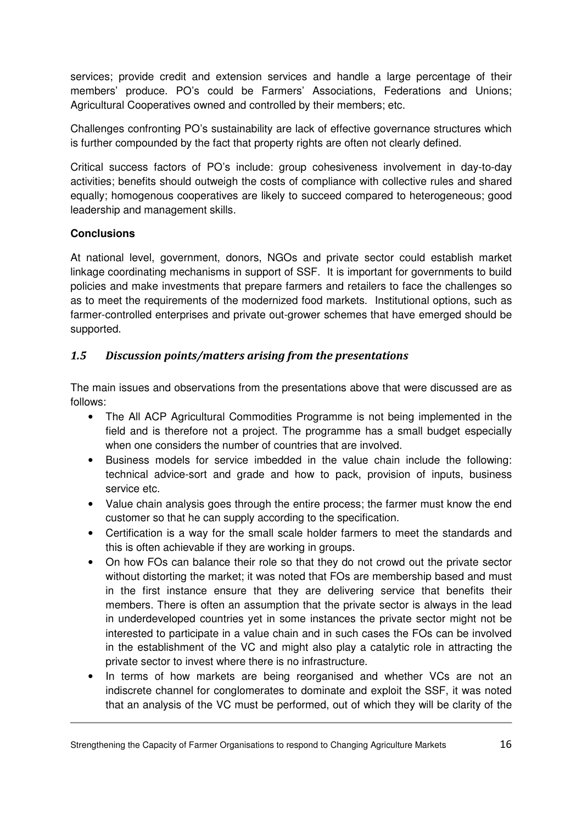services; provide credit and extension services and handle a large percentage of their members' produce. PO's could be Farmers' Associations, Federations and Unions; Agricultural Cooperatives owned and controlled by their members; etc.

Challenges confronting PO's sustainability are lack of effective governance structures which is further compounded by the fact that property rights are often not clearly defined.

Critical success factors of PO's include: group cohesiveness involvement in day-to-day activities; benefits should outweigh the costs of compliance with collective rules and shared equally; homogenous cooperatives are likely to succeed compared to heterogeneous; good leadership and management skills.

## **Conclusions**

At national level, government, donors, NGOs and private sector could establish market linkage coordinating mechanisms in support of SSF. It is important for governments to build policies and make investments that prepare farmers and retailers to face the challenges so as to meet the requirements of the modernized food markets. Institutional options, such as farmer-controlled enterprises and private out-grower schemes that have emerged should be supported.

## 1.5 Discussion points/matters arising from the presentations

The main issues and observations from the presentations above that were discussed are as follows:

- The All ACP Agricultural Commodities Programme is not being implemented in the field and is therefore not a project. The programme has a small budget especially when one considers the number of countries that are involved.
- Business models for service imbedded in the value chain include the following: technical advice-sort and grade and how to pack, provision of inputs, business service etc.
- Value chain analysis goes through the entire process; the farmer must know the end customer so that he can supply according to the specification.
- Certification is a way for the small scale holder farmers to meet the standards and this is often achievable if they are working in groups.
- On how FOs can balance their role so that they do not crowd out the private sector without distorting the market; it was noted that FOs are membership based and must in the first instance ensure that they are delivering service that benefits their members. There is often an assumption that the private sector is always in the lead in underdeveloped countries yet in some instances the private sector might not be interested to participate in a value chain and in such cases the FOs can be involved in the establishment of the VC and might also play a catalytic role in attracting the private sector to invest where there is no infrastructure.
- In terms of how markets are being reorganised and whether VCs are not an indiscrete channel for conglomerates to dominate and exploit the SSF, it was noted that an analysis of the VC must be performed, out of which they will be clarity of the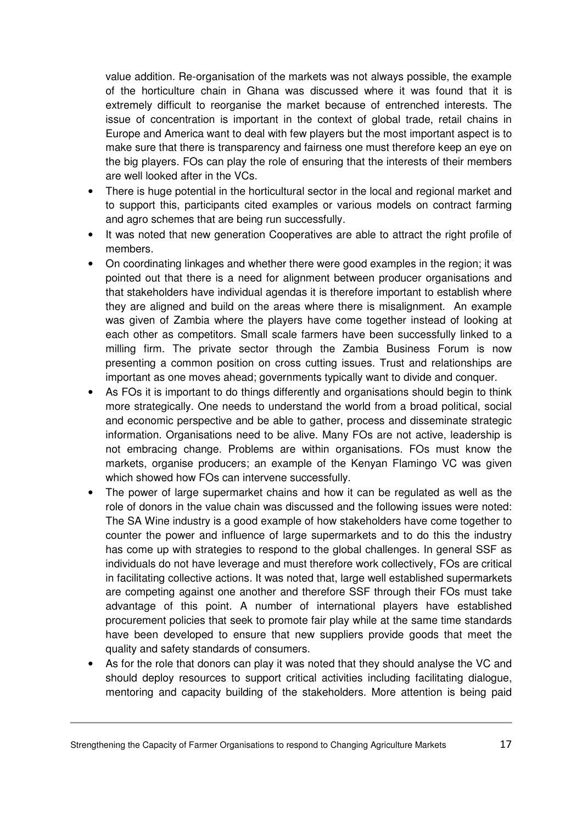value addition. Re-organisation of the markets was not always possible, the example of the horticulture chain in Ghana was discussed where it was found that it is extremely difficult to reorganise the market because of entrenched interests. The issue of concentration is important in the context of global trade, retail chains in Europe and America want to deal with few players but the most important aspect is to make sure that there is transparency and fairness one must therefore keep an eye on the big players. FOs can play the role of ensuring that the interests of their members are well looked after in the VCs.

- There is huge potential in the horticultural sector in the local and regional market and to support this, participants cited examples or various models on contract farming and agro schemes that are being run successfully.
- It was noted that new generation Cooperatives are able to attract the right profile of members.
- On coordinating linkages and whether there were good examples in the region; it was pointed out that there is a need for alignment between producer organisations and that stakeholders have individual agendas it is therefore important to establish where they are aligned and build on the areas where there is misalignment. An example was given of Zambia where the players have come together instead of looking at each other as competitors. Small scale farmers have been successfully linked to a milling firm. The private sector through the Zambia Business Forum is now presenting a common position on cross cutting issues. Trust and relationships are important as one moves ahead; governments typically want to divide and conquer.
- As FOs it is important to do things differently and organisations should begin to think more strategically. One needs to understand the world from a broad political, social and economic perspective and be able to gather, process and disseminate strategic information. Organisations need to be alive. Many FOs are not active, leadership is not embracing change. Problems are within organisations. FOs must know the markets, organise producers; an example of the Kenyan Flamingo VC was given which showed how FOs can intervene successfully.
- The power of large supermarket chains and how it can be regulated as well as the role of donors in the value chain was discussed and the following issues were noted: The SA Wine industry is a good example of how stakeholders have come together to counter the power and influence of large supermarkets and to do this the industry has come up with strategies to respond to the global challenges. In general SSF as individuals do not have leverage and must therefore work collectively, FOs are critical in facilitating collective actions. It was noted that, large well established supermarkets are competing against one another and therefore SSF through their FOs must take advantage of this point. A number of international players have established procurement policies that seek to promote fair play while at the same time standards have been developed to ensure that new suppliers provide goods that meet the quality and safety standards of consumers.
- As for the role that donors can play it was noted that they should analyse the VC and should deploy resources to support critical activities including facilitating dialogue, mentoring and capacity building of the stakeholders. More attention is being paid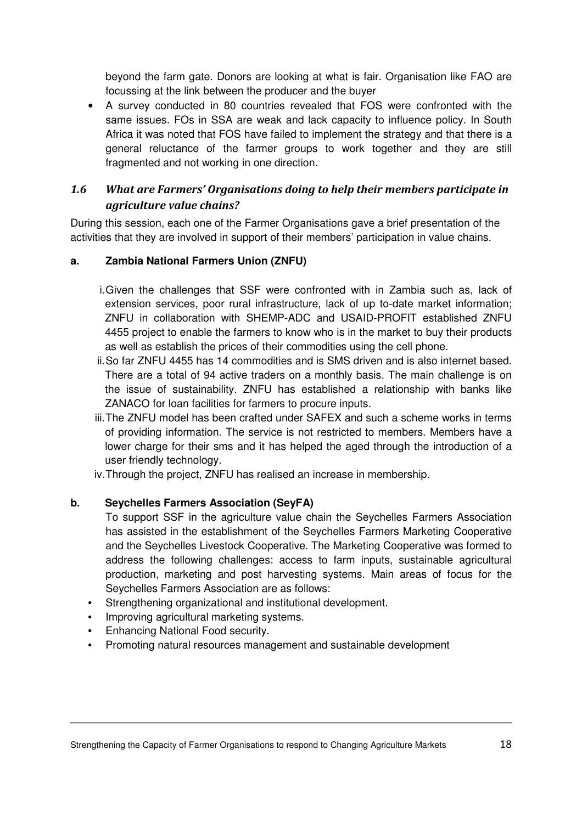beyond the farm gate. Donors are looking at what is fair. Organisation like FAO are focussing at the link between the producer and the buyer

• A survey conducted in 80 countries revealed that FOS were confronted with the same issues. FOs in SSA are weak and lack capacity to influence policy. In South Africa it was noted that FOS have failed to implement the strategy and that there is a general reluctance of the farmer groups to work together and they are still fragmented and not working in one direction.

## 1.6 What are Farmers' Organisations doing to help their members participate in agriculture value chains?

During this session, each one of the Farmer Organisations gave a brief presentation of the activities that they are involved in support of their members' participation in value chains.

## **a. Zambia National Farmers Union (ZNFU)**

- i. Given the challenges that SSF were confronted with in Zambia such as, lack of extension services, poor rural infrastructure, lack of up to-date market information; ZNFU in collaboration with SHEMP-ADC and USAID-PROFIT established ZNFU 4455 project to enable the farmers to know who is in the market to buy their products as well as establish the prices of their commodities using the cell phone.
- ii. So far ZNFU 4455 has 14 commodities and is SMS driven and is also internet based. There are a total of 94 active traders on a monthly basis. The main challenge is on the issue of sustainability. ZNFU has established a relationship with banks like ZANACO for loan facilities for farmers to procure inputs.
- iii. The ZNFU model has been crafted under SAFEX and such a scheme works in terms of providing information. The service is not restricted to members. Members have a lower charge for their sms and it has helped the aged through the introduction of a user friendly technology.
- iv. Through the project, ZNFU has realised an increase in membership.

## **b. Seychelles Farmers Association (SeyFA)**

To support SSF in the agriculture value chain the Seychelles Farmers Association has assisted in the establishment of the Seychelles Farmers Marketing Cooperative and the Seychelles Livestock Cooperative. The Marketing Cooperative was formed to address the following challenges: access to farm inputs, sustainable agricultural production, marketing and post harvesting systems. Main areas of focus for the Seychelles Farmers Association are as follows:

- Strengthening organizational and institutional development.
- Improving agricultural marketing systems.
- Enhancing National Food security.
- Promoting natural resources management and sustainable development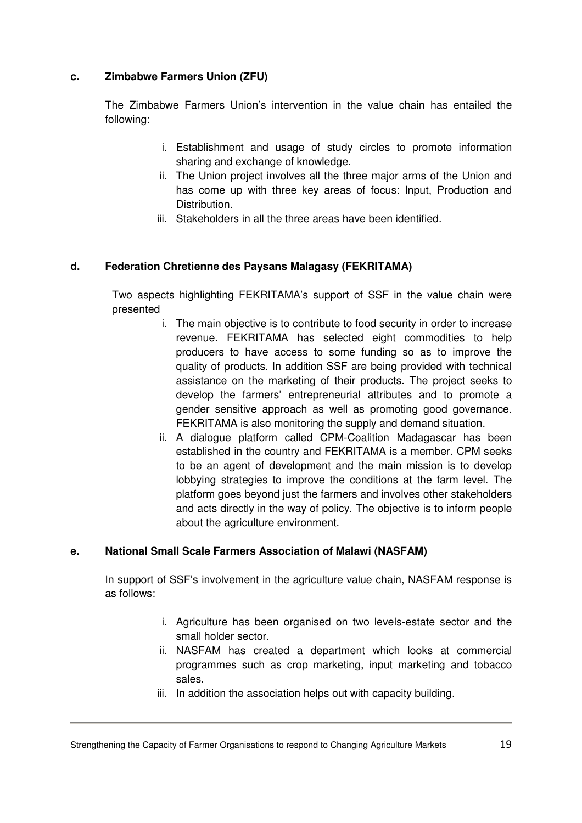## **c. Zimbabwe Farmers Union (ZFU)**

The Zimbabwe Farmers Union's intervention in the value chain has entailed the following:

- i. Establishment and usage of study circles to promote information sharing and exchange of knowledge.
- ii. The Union project involves all the three major arms of the Union and has come up with three key areas of focus: Input, Production and Distribution.
- iii. Stakeholders in all the three areas have been identified.

## **d. Federation Chretienne des Paysans Malagasy (FEKRITAMA)**

Two aspects highlighting FEKRITAMA's support of SSF in the value chain were presented

- i. The main objective is to contribute to food security in order to increase revenue. FEKRITAMA has selected eight commodities to help producers to have access to some funding so as to improve the quality of products. In addition SSF are being provided with technical assistance on the marketing of their products. The project seeks to develop the farmers' entrepreneurial attributes and to promote a gender sensitive approach as well as promoting good governance. FEKRITAMA is also monitoring the supply and demand situation.
- ii. A dialogue platform called CPM-Coalition Madagascar has been established in the country and FEKRITAMA is a member. CPM seeks to be an agent of development and the main mission is to develop lobbying strategies to improve the conditions at the farm level. The platform goes beyond just the farmers and involves other stakeholders and acts directly in the way of policy. The objective is to inform people about the agriculture environment.

## **e. National Small Scale Farmers Association of Malawi (NASFAM)**

In support of SSF's involvement in the agriculture value chain, NASFAM response is as follows:

- i. Agriculture has been organised on two levels-estate sector and the small holder sector.
- ii. NASFAM has created a department which looks at commercial programmes such as crop marketing, input marketing and tobacco sales.
- iii. In addition the association helps out with capacity building.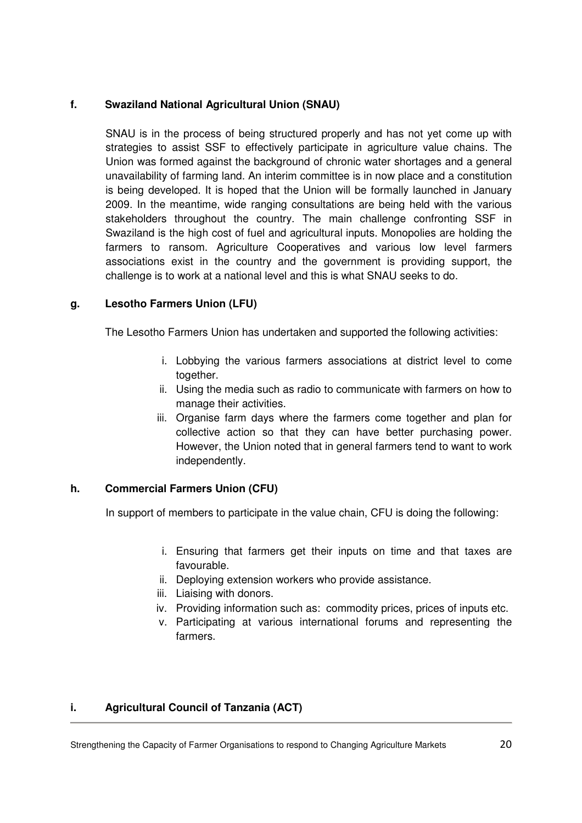## **f. Swaziland National Agricultural Union (SNAU)**

SNAU is in the process of being structured properly and has not yet come up with strategies to assist SSF to effectively participate in agriculture value chains. The Union was formed against the background of chronic water shortages and a general unavailability of farming land. An interim committee is in now place and a constitution is being developed. It is hoped that the Union will be formally launched in January 2009. In the meantime, wide ranging consultations are being held with the various stakeholders throughout the country. The main challenge confronting SSF in Swaziland is the high cost of fuel and agricultural inputs. Monopolies are holding the farmers to ransom. Agriculture Cooperatives and various low level farmers associations exist in the country and the government is providing support, the challenge is to work at a national level and this is what SNAU seeks to do.

## **g. Lesotho Farmers Union (LFU)**

The Lesotho Farmers Union has undertaken and supported the following activities:

- i. Lobbying the various farmers associations at district level to come together.
- ii. Using the media such as radio to communicate with farmers on how to manage their activities.
- iii. Organise farm days where the farmers come together and plan for collective action so that they can have better purchasing power. However, the Union noted that in general farmers tend to want to work independently.

## **h. Commercial Farmers Union (CFU)**

In support of members to participate in the value chain, CFU is doing the following:

- i. Ensuring that farmers get their inputs on time and that taxes are favourable.
- ii. Deploying extension workers who provide assistance.
- iii. Liaising with donors.
- iv. Providing information such as: commodity prices, prices of inputs etc.
- v. Participating at various international forums and representing the farmers.

## **i. Agricultural Council of Tanzania (ACT)**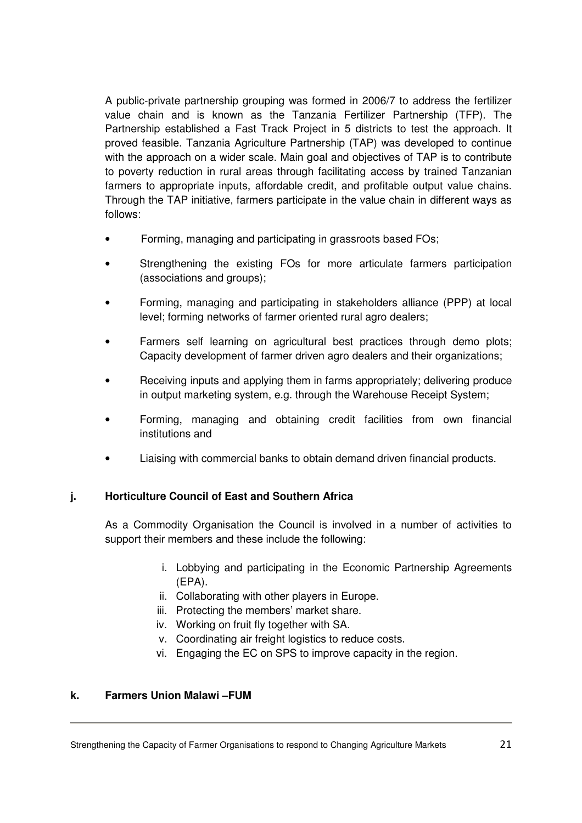A public-private partnership grouping was formed in 2006/7 to address the fertilizer value chain and is known as the Tanzania Fertilizer Partnership (TFP). The Partnership established a Fast Track Project in 5 districts to test the approach. It proved feasible. Tanzania Agriculture Partnership (TAP) was developed to continue with the approach on a wider scale. Main goal and objectives of TAP is to contribute to poverty reduction in rural areas through facilitating access by trained Tanzanian farmers to appropriate inputs, affordable credit, and profitable output value chains. Through the TAP initiative, farmers participate in the value chain in different ways as follows:

- Forming, managing and participating in grassroots based FOs;
- Strengthening the existing FOs for more articulate farmers participation (associations and groups);
- Forming, managing and participating in stakeholders alliance (PPP) at local level; forming networks of farmer oriented rural agro dealers;
- Farmers self learning on agricultural best practices through demo plots; Capacity development of farmer driven agro dealers and their organizations;
- Receiving inputs and applying them in farms appropriately; delivering produce in output marketing system, e.g. through the Warehouse Receipt System;
- Forming, managing and obtaining credit facilities from own financial institutions and
- Liaising with commercial banks to obtain demand driven financial products.

## **j. Horticulture Council of East and Southern Africa**

As a Commodity Organisation the Council is involved in a number of activities to support their members and these include the following:

- i. Lobbying and participating in the Economic Partnership Agreements (EPA).
- ii. Collaborating with other players in Europe.
- iii. Protecting the members' market share.
- iv. Working on fruit fly together with SA.
- v. Coordinating air freight logistics to reduce costs.
- vi. Engaging the EC on SPS to improve capacity in the region.

#### **k. Farmers Union Malawi –FUM**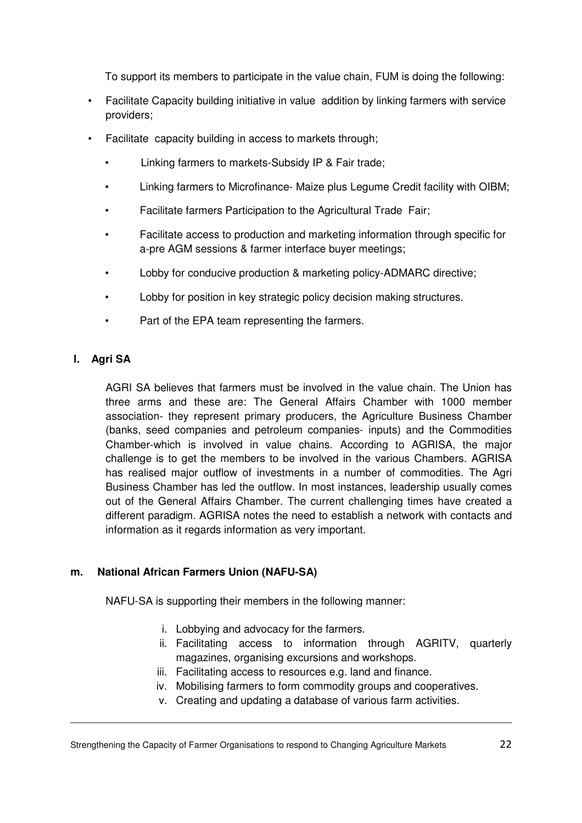To support its members to participate in the value chain, FUM is doing the following:

- Facilitate Capacity building initiative in value addition by linking farmers with service providers;
- Facilitate capacity building in access to markets through;
	- Linking farmers to markets-Subsidy IP & Fair trade;
	- Linking farmers to Microfinance- Maize plus Legume Credit facility with OIBM;
	- Facilitate farmers Participation to the Agricultural Trade Fair;
	- Facilitate access to production and marketing information through specific for a-pre AGM sessions & farmer interface buyer meetings;
	- Lobby for conducive production & marketing policy-ADMARC directive;
	- Lobby for position in key strategic policy decision making structures.
	- Part of the EPA team representing the farmers.

## **l. Agri SA**

AGRI SA believes that farmers must be involved in the value chain. The Union has three arms and these are: The General Affairs Chamber with 1000 member association- they represent primary producers, the Agriculture Business Chamber (banks, seed companies and petroleum companies- inputs) and the Commodities Chamber-which is involved in value chains. According to AGRISA, the major challenge is to get the members to be involved in the various Chambers. AGRISA has realised major outflow of investments in a number of commodities. The Agri Business Chamber has led the outflow. In most instances, leadership usually comes out of the General Affairs Chamber. The current challenging times have created a different paradigm. AGRISA notes the need to establish a network with contacts and information as it regards information as very important.

## **m. National African Farmers Union (NAFU-SA)**

NAFU-SA is supporting their members in the following manner:

- i. Lobbying and advocacy for the farmers.
- ii. Facilitating access to information through AGRITV, quarterly magazines, organising excursions and workshops.
- iii. Facilitating access to resources e.g. land and finance.
- iv. Mobilising farmers to form commodity groups and cooperatives.
- v. Creating and updating a database of various farm activities.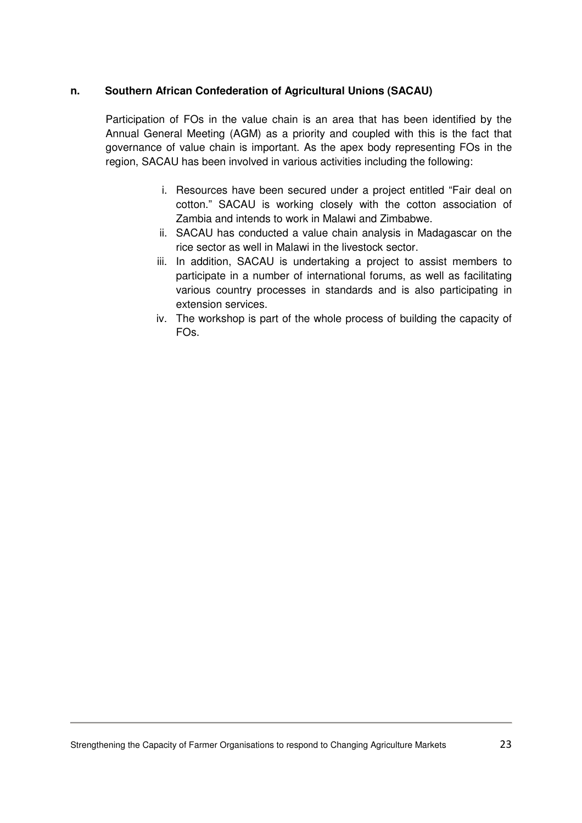#### **n. Southern African Confederation of Agricultural Unions (SACAU)**

Participation of FOs in the value chain is an area that has been identified by the Annual General Meeting (AGM) as a priority and coupled with this is the fact that governance of value chain is important. As the apex body representing FOs in the region, SACAU has been involved in various activities including the following:

- i. Resources have been secured under a project entitled "Fair deal on cotton." SACAU is working closely with the cotton association of Zambia and intends to work in Malawi and Zimbabwe.
- ii. SACAU has conducted a value chain analysis in Madagascar on the rice sector as well in Malawi in the livestock sector.
- iii. In addition, SACAU is undertaking a project to assist members to participate in a number of international forums, as well as facilitating various country processes in standards and is also participating in extension services.
- iv. The workshop is part of the whole process of building the capacity of  $FOS$ .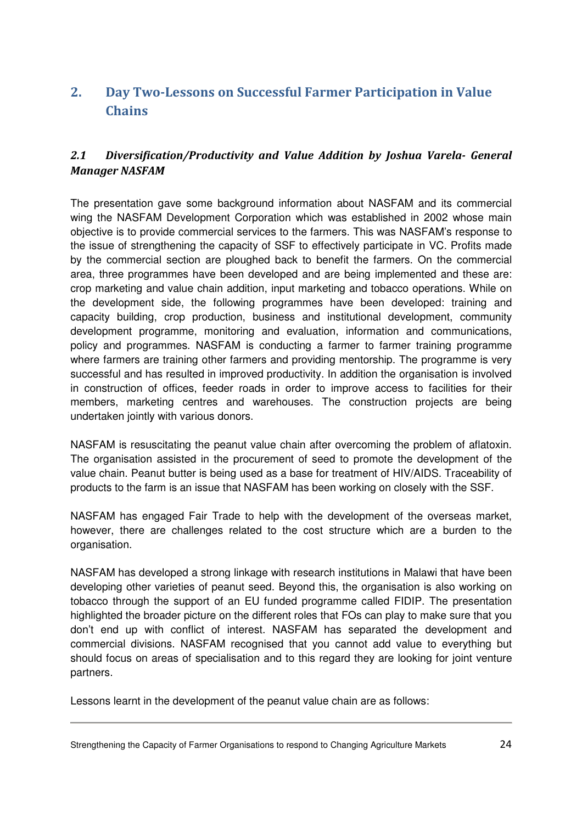# 2. Day Two-Lessons on Successful Farmer Participation in Value **Chains**

## 2.1 Diversification/Productivity and Value Addition by Joshua Varela- General Manager NASFAM

The presentation gave some background information about NASFAM and its commercial wing the NASFAM Development Corporation which was established in 2002 whose main objective is to provide commercial services to the farmers. This was NASFAM's response to the issue of strengthening the capacity of SSF to effectively participate in VC. Profits made by the commercial section are ploughed back to benefit the farmers. On the commercial area, three programmes have been developed and are being implemented and these are: crop marketing and value chain addition, input marketing and tobacco operations. While on the development side, the following programmes have been developed: training and capacity building, crop production, business and institutional development, community development programme, monitoring and evaluation, information and communications, policy and programmes. NASFAM is conducting a farmer to farmer training programme where farmers are training other farmers and providing mentorship. The programme is very successful and has resulted in improved productivity. In addition the organisation is involved in construction of offices, feeder roads in order to improve access to facilities for their members, marketing centres and warehouses. The construction projects are being undertaken jointly with various donors.

NASFAM is resuscitating the peanut value chain after overcoming the problem of aflatoxin. The organisation assisted in the procurement of seed to promote the development of the value chain. Peanut butter is being used as a base for treatment of HIV/AIDS. Traceability of products to the farm is an issue that NASFAM has been working on closely with the SSF.

NASFAM has engaged Fair Trade to help with the development of the overseas market, however, there are challenges related to the cost structure which are a burden to the organisation.

NASFAM has developed a strong linkage with research institutions in Malawi that have been developing other varieties of peanut seed. Beyond this, the organisation is also working on tobacco through the support of an EU funded programme called FIDIP. The presentation highlighted the broader picture on the different roles that FOs can play to make sure that you don't end up with conflict of interest. NASFAM has separated the development and commercial divisions. NASFAM recognised that you cannot add value to everything but should focus on areas of specialisation and to this regard they are looking for joint venture partners.

Lessons learnt in the development of the peanut value chain are as follows: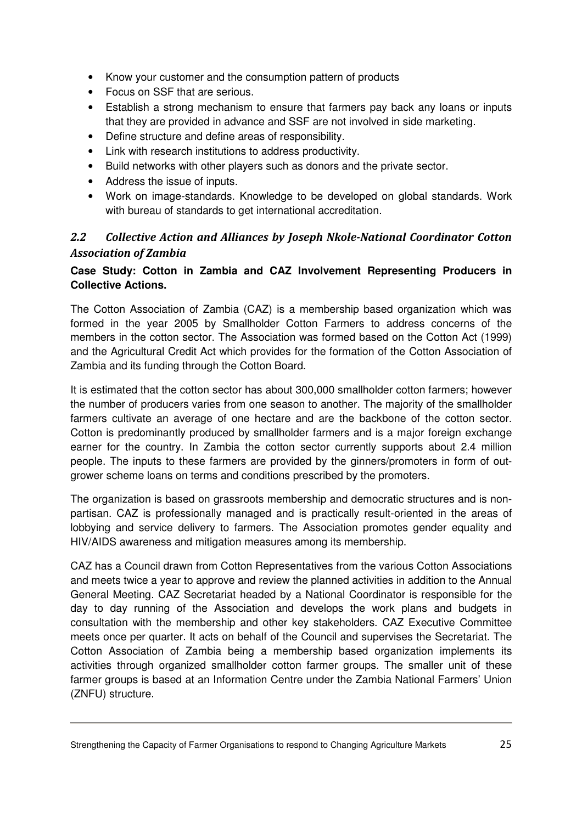- Know your customer and the consumption pattern of products
- Focus on SSF that are serious.
- Establish a strong mechanism to ensure that farmers pay back any loans or inputs that they are provided in advance and SSF are not involved in side marketing.
- Define structure and define areas of responsibility.
- Link with research institutions to address productivity.
- Build networks with other players such as donors and the private sector.
- Address the issue of inputs.
- Work on image-standards. Knowledge to be developed on global standards. Work with bureau of standards to get international accreditation.

## 2.2 Collective Action and Alliances by Joseph Nkole-National Coordinator Cotton Association of Zambia

## **Case Study: Cotton in Zambia and CAZ Involvement Representing Producers in Collective Actions.**

The Cotton Association of Zambia (CAZ) is a membership based organization which was formed in the year 2005 by Smallholder Cotton Farmers to address concerns of the members in the cotton sector. The Association was formed based on the Cotton Act (1999) and the Agricultural Credit Act which provides for the formation of the Cotton Association of Zambia and its funding through the Cotton Board.

It is estimated that the cotton sector has about 300,000 smallholder cotton farmers; however the number of producers varies from one season to another. The majority of the smallholder farmers cultivate an average of one hectare and are the backbone of the cotton sector. Cotton is predominantly produced by smallholder farmers and is a major foreign exchange earner for the country. In Zambia the cotton sector currently supports about 2.4 million people. The inputs to these farmers are provided by the ginners/promoters in form of outgrower scheme loans on terms and conditions prescribed by the promoters.

The organization is based on grassroots membership and democratic structures and is nonpartisan. CAZ is professionally managed and is practically result-oriented in the areas of lobbying and service delivery to farmers. The Association promotes gender equality and HIV/AIDS awareness and mitigation measures among its membership.

CAZ has a Council drawn from Cotton Representatives from the various Cotton Associations and meets twice a year to approve and review the planned activities in addition to the Annual General Meeting. CAZ Secretariat headed by a National Coordinator is responsible for the day to day running of the Association and develops the work plans and budgets in consultation with the membership and other key stakeholders. CAZ Executive Committee meets once per quarter. It acts on behalf of the Council and supervises the Secretariat. The Cotton Association of Zambia being a membership based organization implements its activities through organized smallholder cotton farmer groups. The smaller unit of these farmer groups is based at an Information Centre under the Zambia National Farmers' Union (ZNFU) structure.

Strengthening the Capacity of Farmer Organisations to respond to Changing Agriculture Markets 25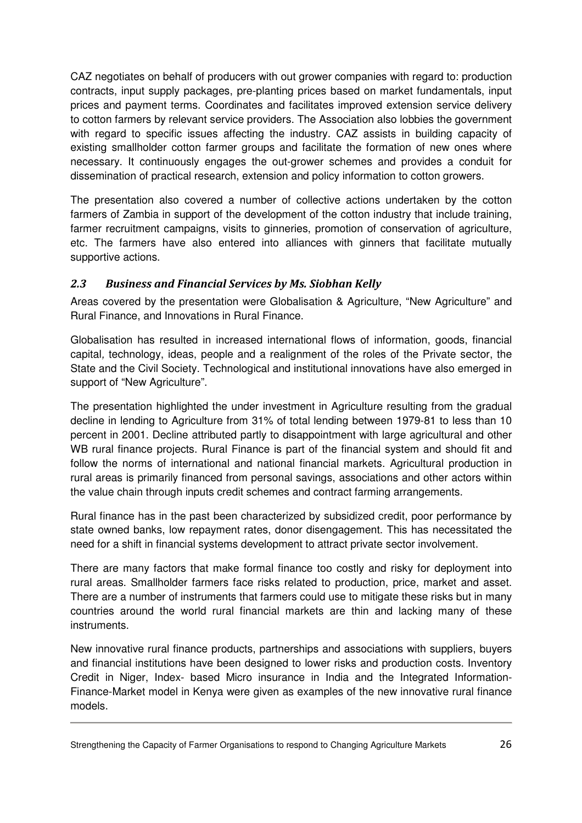CAZ negotiates on behalf of producers with out grower companies with regard to: production contracts, input supply packages, pre-planting prices based on market fundamentals, input prices and payment terms. Coordinates and facilitates improved extension service delivery to cotton farmers by relevant service providers. The Association also lobbies the government with regard to specific issues affecting the industry. CAZ assists in building capacity of existing smallholder cotton farmer groups and facilitate the formation of new ones where necessary. It continuously engages the out-grower schemes and provides a conduit for dissemination of practical research, extension and policy information to cotton growers.

The presentation also covered a number of collective actions undertaken by the cotton farmers of Zambia in support of the development of the cotton industry that include training, farmer recruitment campaigns, visits to ginneries, promotion of conservation of agriculture, etc. The farmers have also entered into alliances with ginners that facilitate mutually supportive actions.

## 2.3 Business and Financial Services by Ms. Siobhan Kelly

Areas covered by the presentation were Globalisation & Agriculture, "New Agriculture" and Rural Finance, and Innovations in Rural Finance.

Globalisation has resulted in increased international flows of information, goods, financial capital, technology, ideas, people and a realignment of the roles of the Private sector, the State and the Civil Society. Technological and institutional innovations have also emerged in support of "New Agriculture".

The presentation highlighted the under investment in Agriculture resulting from the gradual decline in lending to Agriculture from 31% of total lending between 1979-81 to less than 10 percent in 2001. Decline attributed partly to disappointment with large agricultural and other WB rural finance projects. Rural Finance is part of the financial system and should fit and follow the norms of international and national financial markets. Agricultural production in rural areas is primarily financed from personal savings, associations and other actors within the value chain through inputs credit schemes and contract farming arrangements.

Rural finance has in the past been characterized by subsidized credit, poor performance by state owned banks, low repayment rates, donor disengagement. This has necessitated the need for a shift in financial systems development to attract private sector involvement.

There are many factors that make formal finance too costly and risky for deployment into rural areas. Smallholder farmers face risks related to production, price, market and asset. There are a number of instruments that farmers could use to mitigate these risks but in many countries around the world rural financial markets are thin and lacking many of these instruments.

New innovative rural finance products, partnerships and associations with suppliers, buyers and financial institutions have been designed to lower risks and production costs. Inventory Credit in Niger, Index- based Micro insurance in India and the Integrated Information-Finance-Market model in Kenya were given as examples of the new innovative rural finance models.

Strengthening the Capacity of Farmer Organisations to respond to Changing Agriculture Markets 26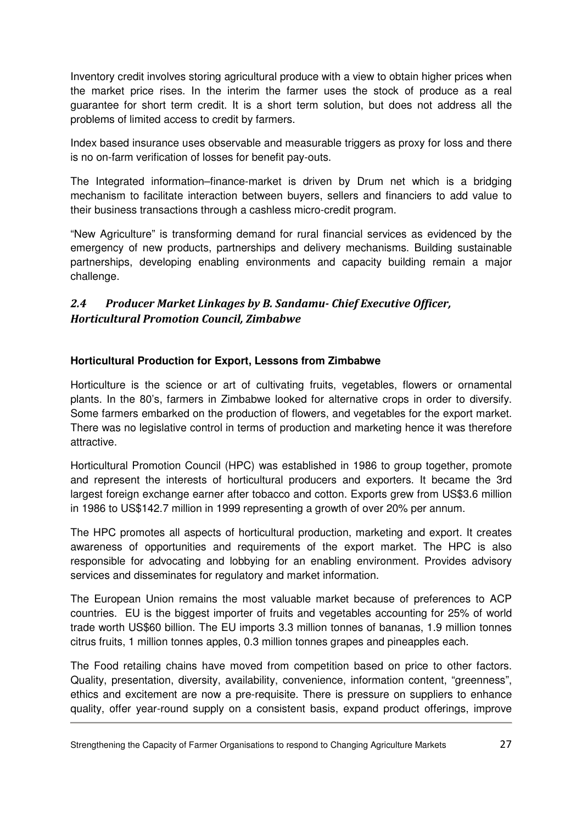Inventory credit involves storing agricultural produce with a view to obtain higher prices when the market price rises. In the interim the farmer uses the stock of produce as a real guarantee for short term credit. It is a short term solution, but does not address all the problems of limited access to credit by farmers.

Index based insurance uses observable and measurable triggers as proxy for loss and there is no on-farm verification of losses for benefit pay-outs.

The Integrated information–finance-market is driven by Drum net which is a bridging mechanism to facilitate interaction between buyers, sellers and financiers to add value to their business transactions through a cashless micro-credit program.

"New Agriculture" is transforming demand for rural financial services as evidenced by the emergency of new products, partnerships and delivery mechanisms. Building sustainable partnerships, developing enabling environments and capacity building remain a major challenge.

## 2.4 Producer Market Linkages by B. Sandamu- Chief Executive Officer, Horticultural Promotion Council, Zimbabwe

## **Horticultural Production for Export, Lessons from Zimbabwe**

Horticulture is the science or art of cultivating fruits, vegetables, flowers or ornamental plants. In the 80's, farmers in Zimbabwe looked for alternative crops in order to diversify. Some farmers embarked on the production of flowers, and vegetables for the export market. There was no legislative control in terms of production and marketing hence it was therefore attractive.

Horticultural Promotion Council (HPC) was established in 1986 to group together, promote and represent the interests of horticultural producers and exporters. It became the 3rd largest foreign exchange earner after tobacco and cotton. Exports grew from US\$3.6 million in 1986 to US\$142.7 million in 1999 representing a growth of over 20% per annum.

The HPC promotes all aspects of horticultural production, marketing and export. It creates awareness of opportunities and requirements of the export market. The HPC is also responsible for advocating and lobbying for an enabling environment. Provides advisory services and disseminates for regulatory and market information.

The European Union remains the most valuable market because of preferences to ACP countries. EU is the biggest importer of fruits and vegetables accounting for 25% of world trade worth US\$60 billion. The EU imports 3.3 million tonnes of bananas, 1.9 million tonnes citrus fruits, 1 million tonnes apples, 0.3 million tonnes grapes and pineapples each.

The Food retailing chains have moved from competition based on price to other factors. Quality, presentation, diversity, availability, convenience, information content, "greenness", ethics and excitement are now a pre-requisite. There is pressure on suppliers to enhance quality, offer year-round supply on a consistent basis, expand product offerings, improve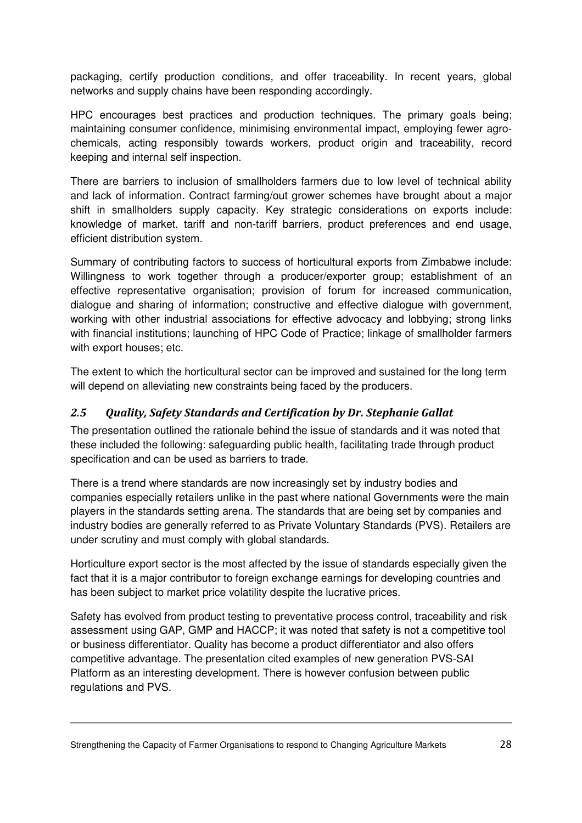packaging, certify production conditions, and offer traceability. In recent years, global networks and supply chains have been responding accordingly.

HPC encourages best practices and production techniques. The primary goals being; maintaining consumer confidence, minimising environmental impact, employing fewer agrochemicals, acting responsibly towards workers, product origin and traceability, record keeping and internal self inspection.

There are barriers to inclusion of smallholders farmers due to low level of technical ability and lack of information. Contract farming/out grower schemes have brought about a major shift in smallholders supply capacity. Key strategic considerations on exports include: knowledge of market, tariff and non-tariff barriers, product preferences and end usage, efficient distribution system.

Summary of contributing factors to success of horticultural exports from Zimbabwe include: Willingness to work together through a producer/exporter group; establishment of an effective representative organisation; provision of forum for increased communication, dialogue and sharing of information; constructive and effective dialogue with government, working with other industrial associations for effective advocacy and lobbying; strong links with financial institutions; launching of HPC Code of Practice; linkage of smallholder farmers with export houses; etc.

The extent to which the horticultural sector can be improved and sustained for the long term will depend on alleviating new constraints being faced by the producers.

## 2.5 Ouality, Safety Standards and Certification by Dr. Stephanie Gallat

The presentation outlined the rationale behind the issue of standards and it was noted that these included the following: safeguarding public health, facilitating trade through product specification and can be used as barriers to trade.

There is a trend where standards are now increasingly set by industry bodies and companies especially retailers unlike in the past where national Governments were the main players in the standards setting arena. The standards that are being set by companies and industry bodies are generally referred to as Private Voluntary Standards (PVS). Retailers are under scrutiny and must comply with global standards.

Horticulture export sector is the most affected by the issue of standards especially given the fact that it is a major contributor to foreign exchange earnings for developing countries and has been subject to market price volatility despite the lucrative prices.

Safety has evolved from product testing to preventative process control, traceability and risk assessment using GAP, GMP and HACCP; it was noted that safety is not a competitive tool or business differentiator. Quality has become a product differentiator and also offers competitive advantage. The presentation cited examples of new generation PVS-SAI Platform as an interesting development. There is however confusion between public regulations and PVS.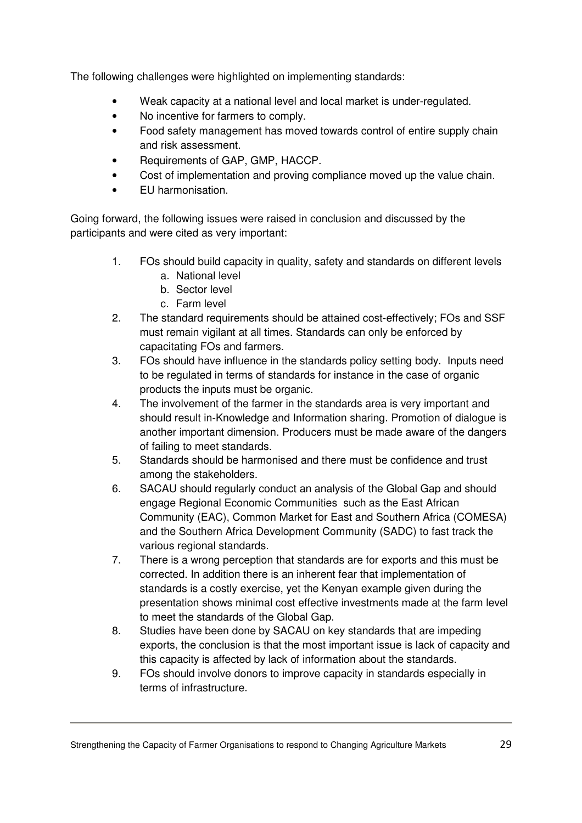The following challenges were highlighted on implementing standards:

- Weak capacity at a national level and local market is under-regulated.
- No incentive for farmers to comply.
- Food safety management has moved towards control of entire supply chain and risk assessment.
- Requirements of GAP, GMP, HACCP.
- Cost of implementation and proving compliance moved up the value chain.
- EU harmonisation.

Going forward, the following issues were raised in conclusion and discussed by the participants and were cited as very important:

- 1. FOs should build capacity in quality, safety and standards on different levels
	- a. National level
	- b. Sector level
	- c. Farm level
- 2. The standard requirements should be attained cost-effectively; FOs and SSF must remain vigilant at all times. Standards can only be enforced by capacitating FOs and farmers.
- 3. FOs should have influence in the standards policy setting body. Inputs need to be regulated in terms of standards for instance in the case of organic products the inputs must be organic.
- 4. The involvement of the farmer in the standards area is very important and should result in-Knowledge and Information sharing. Promotion of dialogue is another important dimension. Producers must be made aware of the dangers of failing to meet standards.
- 5. Standards should be harmonised and there must be confidence and trust among the stakeholders.
- 6. SACAU should regularly conduct an analysis of the Global Gap and should engage Regional Economic Communities such as the East African Community (EAC), Common Market for East and Southern Africa (COMESA) and the Southern Africa Development Community (SADC) to fast track the various regional standards.
- 7. There is a wrong perception that standards are for exports and this must be corrected. In addition there is an inherent fear that implementation of standards is a costly exercise, yet the Kenyan example given during the presentation shows minimal cost effective investments made at the farm level to meet the standards of the Global Gap.
- 8. Studies have been done by SACAU on key standards that are impeding exports, the conclusion is that the most important issue is lack of capacity and this capacity is affected by lack of information about the standards.
- 9. FOs should involve donors to improve capacity in standards especially in terms of infrastructure.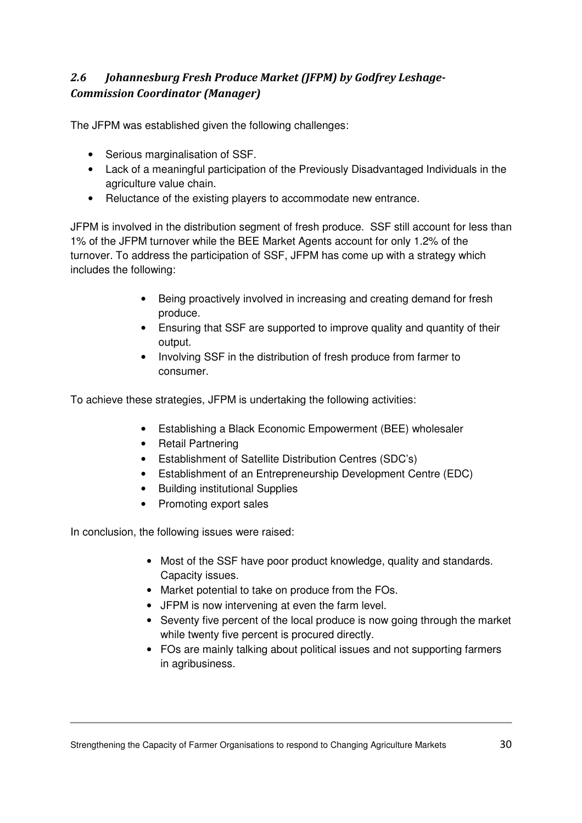# 2.6 Johannesburg Fresh Produce Market (JFPM) by Godfrey Leshage-Commission Coordinator (Manager)

The JFPM was established given the following challenges:

- Serious marginalisation of SSF.
- Lack of a meaningful participation of the Previously Disadvantaged Individuals in the agriculture value chain.
- Reluctance of the existing players to accommodate new entrance.

JFPM is involved in the distribution segment of fresh produce. SSF still account for less than 1% of the JFPM turnover while the BEE Market Agents account for only 1.2% of the turnover. To address the participation of SSF, JFPM has come up with a strategy which includes the following:

- Being proactively involved in increasing and creating demand for fresh produce.
- Ensuring that SSF are supported to improve quality and quantity of their output.
- Involving SSF in the distribution of fresh produce from farmer to consumer.

To achieve these strategies, JFPM is undertaking the following activities:

- Establishing a Black Economic Empowerment (BEE) wholesaler
- Retail Partnering
- Establishment of Satellite Distribution Centres (SDC's)
- Establishment of an Entrepreneurship Development Centre (EDC)
- Building institutional Supplies
- Promoting export sales

In conclusion, the following issues were raised:

- Most of the SSF have poor product knowledge, quality and standards. Capacity issues.
- Market potential to take on produce from the FOs.
- JFPM is now intervening at even the farm level.
- Seventy five percent of the local produce is now going through the market while twenty five percent is procured directly.
- FOs are mainly talking about political issues and not supporting farmers in agribusiness.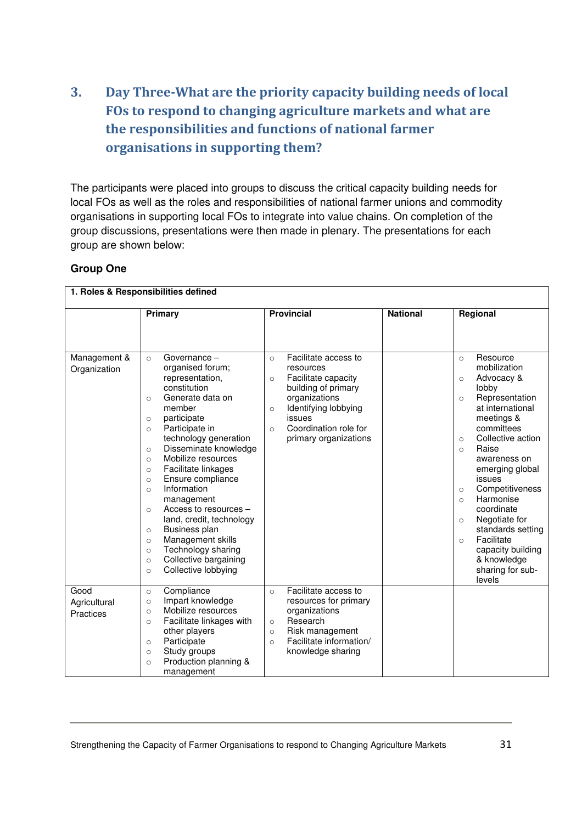# 3. Day Three-What are the priority capacity building needs of local FOs to respond to changing agriculture markets and what are the responsibilities and functions of national farmer organisations in supporting them?

The participants were placed into groups to discuss the critical capacity building needs for local FOs as well as the roles and responsibilities of national farmer unions and commodity organisations in supporting local FOs to integrate into value chains. On completion of the group discussions, presentations were then made in plenary. The presentations for each group are shown below:

#### **Group One**

|                                   | <b>Primary</b>                                                                                                                                                                                                                                                                                                                                                                                                                                                                                                                                                                                                                   | <b>Provincial</b>                                                                                                                                                                                                                | <b>National</b> | Regional                                                                                                                                                                                                                                                                                                                                                                                                                                                            |
|-----------------------------------|----------------------------------------------------------------------------------------------------------------------------------------------------------------------------------------------------------------------------------------------------------------------------------------------------------------------------------------------------------------------------------------------------------------------------------------------------------------------------------------------------------------------------------------------------------------------------------------------------------------------------------|----------------------------------------------------------------------------------------------------------------------------------------------------------------------------------------------------------------------------------|-----------------|---------------------------------------------------------------------------------------------------------------------------------------------------------------------------------------------------------------------------------------------------------------------------------------------------------------------------------------------------------------------------------------------------------------------------------------------------------------------|
| Management &<br>Organization      | Governance -<br>$\circ$<br>organised forum;<br>representation,<br>constitution<br>Generate data on<br>$\circ$<br>member<br>participate<br>$\circ$<br>Participate in<br>$\circ$<br>technology generation<br>Disseminate knowledge<br>$\circ$<br>Mobilize resources<br>$\circ$<br>Facilitate linkages<br>$\circ$<br>Ensure compliance<br>$\circ$<br>Information<br>$\circ$<br>management<br>Access to resources -<br>$\circ$<br>land, credit, technology<br><b>Business plan</b><br>$\circ$<br>Management skills<br>$\circ$<br>Technology sharing<br>$\circ$<br>Collective bargaining<br>$\circ$<br>Collective lobbying<br>$\circ$ | Facilitate access to<br>$\circ$<br>resources<br>Facilitate capacity<br>$\circ$<br>building of primary<br>organizations<br>Identifying lobbying<br>$\circ$<br>issues<br>Coordination role for<br>$\circ$<br>primary organizations |                 | Resource<br>$\circ$<br>mobilization<br>Advocacy &<br>$\circ$<br>lobby<br>Representation<br>$\circ$<br>at international<br>meetings &<br>committees<br>Collective action<br>$\circ$<br>Raise<br>$\circ$<br>awareness on<br>emerging global<br>issues<br>Competitiveness<br>$\circ$<br>Harmonise<br>$\circ$<br>coordinate<br>Negotiate for<br>$\circ$<br>standards setting<br>Facilitate<br>$\circ$<br>capacity building<br>& knowledge<br>sharing for sub-<br>levels |
| Good<br>Agricultural<br>Practices | Compliance<br>$\circ$<br>Impart knowledge<br>$\circ$<br>Mobilize resources<br>$\circ$<br>Facilitate linkages with<br>$\circ$<br>other players<br>Participate<br>$\circ$<br>Study groups<br>$\circ$<br>Production planning &<br>$\circ$<br>management                                                                                                                                                                                                                                                                                                                                                                             | Facilitate access to<br>$\circ$<br>resources for primary<br>organizations<br>Research<br>$\circ$<br>Risk management<br>$\circ$<br>Facilitate information/<br>$\circ$<br>knowledge sharing                                        |                 |                                                                                                                                                                                                                                                                                                                                                                                                                                                                     |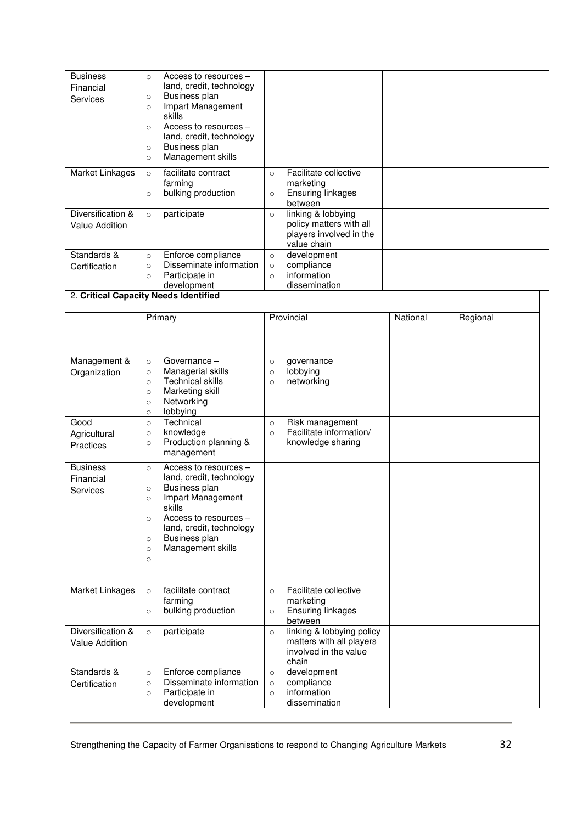| <b>Business</b><br>Financial<br>Services   | Access to resources -<br>$\circ$<br>land, credit, technology<br><b>Business plan</b><br>$\circ$<br>Impart Management<br>$\circ$<br>skills<br>Access to resources -<br>$\circ$<br>land, credit, technology<br><b>Business plan</b><br>$\circ$<br>Management skills<br>$\circ$ |                                                                                                    |          |          |
|--------------------------------------------|------------------------------------------------------------------------------------------------------------------------------------------------------------------------------------------------------------------------------------------------------------------------------|----------------------------------------------------------------------------------------------------|----------|----------|
| <b>Market Linkages</b>                     | facilitate contract<br>$\circ$<br>farming<br>bulking production<br>$\circ$                                                                                                                                                                                                   | Facilitate collective<br>$\circ$<br>marketing<br>Ensuring linkages<br>$\circ$<br>between           |          |          |
| Diversification &<br><b>Value Addition</b> | participate<br>$\circ$                                                                                                                                                                                                                                                       | linking & lobbying<br>$\circ$<br>policy matters with all<br>players involved in the<br>value chain |          |          |
| Standards &<br>Certification               | Enforce compliance<br>$\circ$<br>Disseminate information<br>$\circ$<br>Participate in<br>$\circ$<br>development                                                                                                                                                              | development<br>$\circ$<br>compliance<br>$\circ$<br>information<br>$\circ$<br>dissemination         |          |          |
|                                            | 2. Critical Capacity Needs Identified                                                                                                                                                                                                                                        |                                                                                                    |          |          |
|                                            | Primary                                                                                                                                                                                                                                                                      | Provincial                                                                                         | National | Regional |
| Management &                               | Governance-<br>$\circ$                                                                                                                                                                                                                                                       | governance<br>$\circ$                                                                              |          |          |
| Organization                               | Managerial skills<br>$\circ$<br><b>Technical skills</b><br>$\circ$<br>Marketing skill<br>$\circ$<br>Networking<br>$\circ$<br>lobbying<br>$\circ$                                                                                                                             | lobbying<br>$\circ$<br>networking<br>$\circ$                                                       |          |          |
| Good<br>Agricultural<br>Practices          | Technical<br>$\circ$<br>knowledge<br>$\circ$<br>Production planning &<br>$\circ$<br>management                                                                                                                                                                               | Risk management<br>$\circ$<br>Facilitate information/<br>$\circ$<br>knowledge sharing              |          |          |
| <b>Business</b><br>Financial<br>Services   | Access to resources -<br>$\circ$<br>land, credit, technology<br>Business plan<br>$\circ$<br>Impart Management<br>$\circ$<br>skills<br>Access to resources -<br>$\circ$<br>land, credit, technology<br>Business plan<br>$\circ$<br>Management skills<br>$\circ$<br>$\circ$    |                                                                                                    |          |          |
| Market Linkages                            | facilitate contract<br>$\circ$<br>farming<br>bulking production<br>$\circ$                                                                                                                                                                                                   | Facilitate collective<br>$\circ$<br>marketing<br><b>Ensuring linkages</b><br>$\circ$<br>between    |          |          |
| Diversification &<br>Value Addition        | participate<br>$\circ$                                                                                                                                                                                                                                                       | linking & lobbying policy<br>$\circ$<br>matters with all players<br>involved in the value<br>chain |          |          |
| Standards &<br>Certification               | Enforce compliance<br>$\circ$<br>Disseminate information<br>$\circ$<br>Participate in<br>$\circ$<br>development                                                                                                                                                              | development<br>$\circ$<br>compliance<br>$\circ$<br>information<br>$\circ$<br>dissemination         |          |          |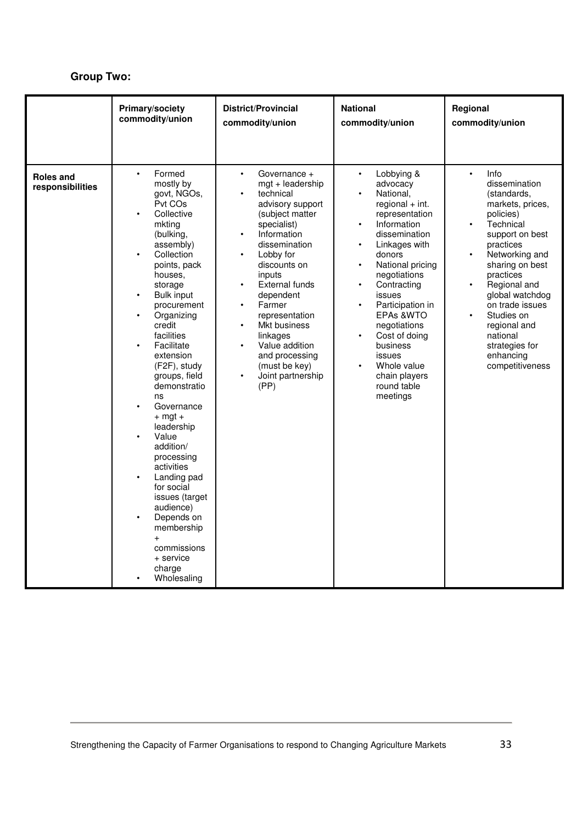# **Group Two:**

|                                      | Primary/society                                                                                                                                                                                                                                                                                                                                                                                                                                                                                                                                                                                                                                                                             | <b>District/Provincial</b>                                                                                                                                                                                                                                                                                                                                         | <b>National</b>                                                                                                                                                                                                                                                                                                                                                                                                                                | Regional                                                                                                                                                                                                                                                                                                                                         |
|--------------------------------------|---------------------------------------------------------------------------------------------------------------------------------------------------------------------------------------------------------------------------------------------------------------------------------------------------------------------------------------------------------------------------------------------------------------------------------------------------------------------------------------------------------------------------------------------------------------------------------------------------------------------------------------------------------------------------------------------|--------------------------------------------------------------------------------------------------------------------------------------------------------------------------------------------------------------------------------------------------------------------------------------------------------------------------------------------------------------------|------------------------------------------------------------------------------------------------------------------------------------------------------------------------------------------------------------------------------------------------------------------------------------------------------------------------------------------------------------------------------------------------------------------------------------------------|--------------------------------------------------------------------------------------------------------------------------------------------------------------------------------------------------------------------------------------------------------------------------------------------------------------------------------------------------|
|                                      | commodity/union                                                                                                                                                                                                                                                                                                                                                                                                                                                                                                                                                                                                                                                                             | commodity/union                                                                                                                                                                                                                                                                                                                                                    | commodity/union                                                                                                                                                                                                                                                                                                                                                                                                                                | commodity/union                                                                                                                                                                                                                                                                                                                                  |
| <b>Roles and</b><br>responsibilities | Formed<br>$\bullet$<br>mostly by<br>govt, NGOs,<br>Pvt COs<br>Collective<br>$\bullet$<br>mkting<br>(bulking,<br>assembly)<br>Collection<br>$\bullet$<br>points, pack<br>houses,<br>storage<br>Bulk input<br>$\bullet$<br>procurement<br>Organizing<br>$\bullet$<br>credit<br>facilities<br>Facilitate<br>$\bullet$<br>extension<br>(F2F), study<br>groups, field<br>demonstratio<br>ns<br>Governance<br>$\bullet$<br>$+$ mgt $+$<br>leadership<br>Value<br>$\bullet$<br>addition/<br>processing<br>activities<br>Landing pad<br>$\bullet$<br>for social<br>issues (target<br>audience)<br>Depends on<br>$\bullet$<br>membership<br>$+$<br>commissions<br>+ service<br>charge<br>Wholesaling | Governance +<br>$\bullet$<br>$mgt +$ leadership<br>technical<br>advisory support<br>(subject matter<br>specialist)<br>Information<br>dissemination<br>Lobby for<br>discounts on<br>inputs<br>External funds<br>dependent<br>Farmer<br>representation<br>Mkt business<br>linkages<br>Value addition<br>and processing<br>(must be key)<br>Joint partnership<br>(PP) | Lobbying &<br>$\bullet$<br>advocacy<br>National,<br>$regional + int.$<br>representation<br>Information<br>$\bullet$<br>dissemination<br>Linkages with<br>$\bullet$<br>donors<br>National pricing<br>$\bullet$<br>negotiations<br>Contracting<br>$\bullet$<br>issues<br>Participation in<br><b>EPAs &amp;WTO</b><br>negotiations<br>Cost of doing<br>business<br>issues<br>Whole value<br>$\bullet$<br>chain players<br>round table<br>meetings | Info<br>$\bullet$<br>dissemination<br>(standards,<br>markets, prices,<br>policies)<br>Technical<br>$\bullet$<br>support on best<br>practices<br>Networking and<br>sharing on best<br>practices<br>Regional and<br>global watchdog<br>on trade issues<br>Studies on<br>regional and<br>national<br>strategies for<br>enhancing<br>competitiveness |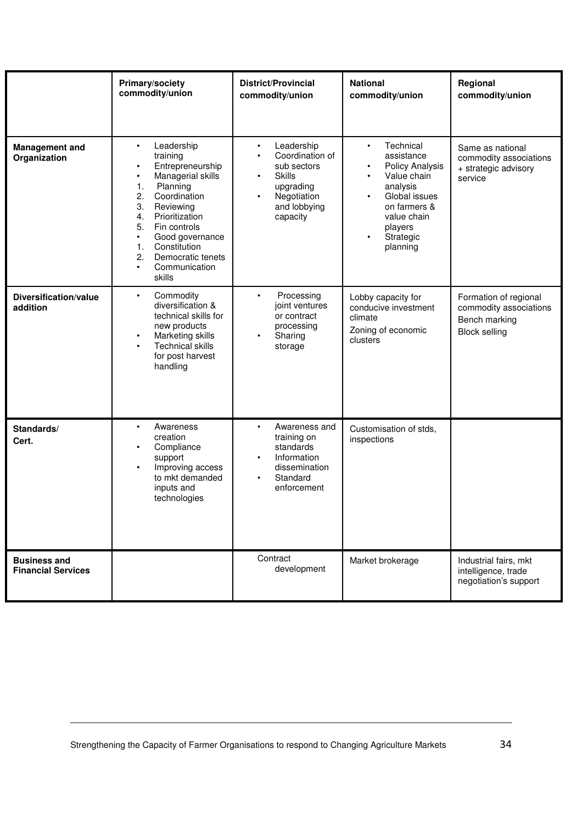|                                                  | Primary/society<br>commodity/union                                                                                                                                                                                                                                                                                                      | <b>District/Provincial</b><br>commodity/union                                                                                                                | <b>National</b><br>commodity/union                                                                                                                                                                                   | Regional<br>commodity/union                                                              |
|--------------------------------------------------|-----------------------------------------------------------------------------------------------------------------------------------------------------------------------------------------------------------------------------------------------------------------------------------------------------------------------------------------|--------------------------------------------------------------------------------------------------------------------------------------------------------------|----------------------------------------------------------------------------------------------------------------------------------------------------------------------------------------------------------------------|------------------------------------------------------------------------------------------|
| <b>Management</b> and<br>Organization            | Leadership<br>$\bullet$<br>training<br>Entrepreneurship<br>$\bullet$<br>Managerial skills<br>1.<br>Planning<br>2.<br>Coordination<br>3.<br>Reviewing<br>4.<br>Prioritization<br>5.<br>Fin controls<br>Good governance<br>$\bullet$<br>$\mathbf{1}$ .<br>Constitution<br>2.<br>Democratic tenets<br>Communication<br>$\bullet$<br>skills | Leadership<br>$\bullet$<br>Coordination of<br>$\bullet$<br>sub sectors<br><b>Skills</b><br>$\bullet$<br>upgrading<br>Negotiation<br>and lobbying<br>capacity | Technical<br>$\bullet$<br>assistance<br><b>Policy Analysis</b><br>$\bullet$<br>Value chain<br>$\bullet$<br>analysis<br>Global issues<br>$\bullet$<br>on farmers &<br>value chain<br>players<br>Strategic<br>planning | Same as national<br>commodity associations<br>+ strategic advisory<br>service            |
| Diversification/value<br>addition                | Commodity<br>$\bullet$<br>diversification &<br>technical skills for<br>new products<br>Marketing skills<br>$\bullet$<br><b>Technical skills</b><br>for post harvest<br>handling                                                                                                                                                         | Processing<br>$\bullet$<br>joint ventures<br>or contract<br>processing<br>Sharing<br>storage                                                                 | Lobby capacity for<br>conducive investment<br>climate<br>Zoning of economic<br>clusters                                                                                                                              | Formation of regional<br>commodity associations<br>Bench marking<br><b>Block selling</b> |
| Standards/<br>Cert.                              | Awareness<br>$\bullet$<br>creation<br>Compliance<br>support<br>Improving access<br>$\bullet$<br>to mkt demanded<br>inputs and<br>technologies                                                                                                                                                                                           | Awareness and<br>$\bullet$<br>training on<br>standards<br>Information<br>dissemination<br>Standard<br>$\bullet$<br>enforcement                               | Customisation of stds,<br>inspections                                                                                                                                                                                |                                                                                          |
| <b>Business and</b><br><b>Financial Services</b> |                                                                                                                                                                                                                                                                                                                                         | Contract<br>development                                                                                                                                      | Market brokerage                                                                                                                                                                                                     | Industrial fairs, mkt<br>intelligence, trade<br>negotiation's support                    |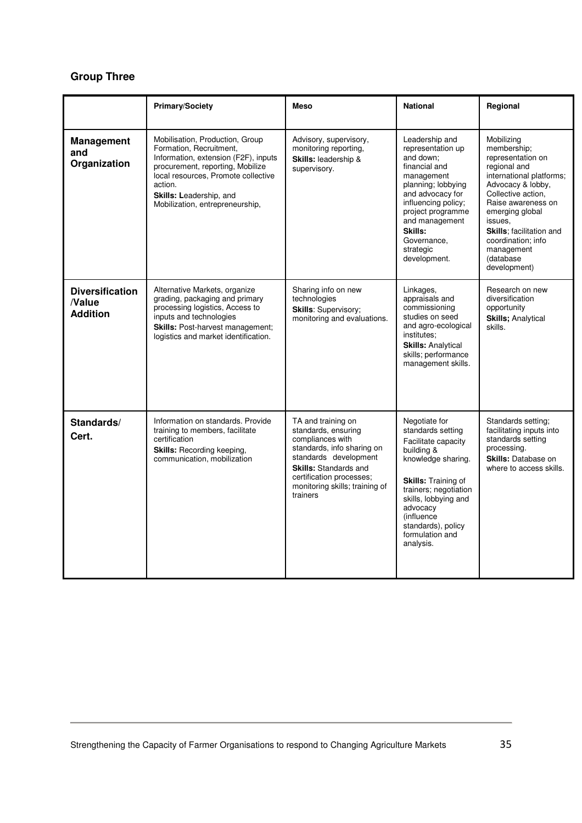## **Group Three**

|                                                     | <b>Primary/Society</b>                                                                                                                                                                                                                                 | Meso                                                                                                                                                                                                                           | <b>National</b>                                                                                                                                                                                                                                              | Regional                                                                                                                                                                                                                                                                                      |
|-----------------------------------------------------|--------------------------------------------------------------------------------------------------------------------------------------------------------------------------------------------------------------------------------------------------------|--------------------------------------------------------------------------------------------------------------------------------------------------------------------------------------------------------------------------------|--------------------------------------------------------------------------------------------------------------------------------------------------------------------------------------------------------------------------------------------------------------|-----------------------------------------------------------------------------------------------------------------------------------------------------------------------------------------------------------------------------------------------------------------------------------------------|
| <b>Management</b><br>and<br>Organization            | Mobilisation, Production, Group<br>Formation, Recruitment,<br>Information, extension (F2F), inputs<br>procurement, reporting, Mobilize<br>local resources, Promote collective<br>action.<br>Skills: Leadership, and<br>Mobilization, entrepreneurship, | Advisory, supervisory,<br>monitoring reporting,<br>Skills: leadership &<br>supervisory.                                                                                                                                        | Leadership and<br>representation up<br>and down:<br>financial and<br>management<br>planning; lobbying<br>and advocacy for<br>influencing policy;<br>project programme<br>and management<br>Skills:<br>Governance,<br>strategic<br>development.               | Mobilizing<br>membership;<br>representation on<br>regional and<br>international platforms;<br>Advocacy & lobby,<br>Collective action,<br>Raise awareness on<br>emerging global<br>issues.<br><b>Skills:</b> facilitation and<br>coordination: info<br>management<br>(database<br>development) |
| <b>Diversification</b><br>/Value<br><b>Addition</b> | Alternative Markets, organize<br>grading, packaging and primary<br>processing logistics, Access to<br>inputs and technologies<br><b>Skills: Post-harvest management;</b><br>logistics and market identification.                                       | Sharing info on new<br>technologies<br><b>Skills: Supervisory;</b><br>monitoring and evaluations.                                                                                                                              | Linkages,<br>appraisals and<br>commissioning<br>studies on seed<br>and agro-ecological<br>institutes;<br><b>Skills: Analytical</b><br>skills; performance<br>management skills.                                                                              | Research on new<br>diversification<br>opportunity<br><b>Skills: Analytical</b><br>skills.                                                                                                                                                                                                     |
| Standards/<br>Cert.                                 | Information on standards, Provide<br>training to members, facilitate<br>certification<br><b>Skills:</b> Recording keeping,<br>communication, mobilization                                                                                              | TA and training on<br>standards, ensuring<br>compliances with<br>standards, info sharing on<br>standards development<br><b>Skills: Standards and</b><br>certification processes;<br>monitoring skills; training of<br>trainers | Negotiate for<br>standards setting<br>Facilitate capacity<br>building &<br>knowledge sharing.<br><b>Skills: Training of</b><br>trainers; negotiation<br>skills, lobbying and<br>advocacy<br>(influence<br>standards), policy<br>formulation and<br>analysis. | Standards setting;<br>facilitating inputs into<br>standards setting<br>processing.<br><b>Skills: Database on</b><br>where to access skills.                                                                                                                                                   |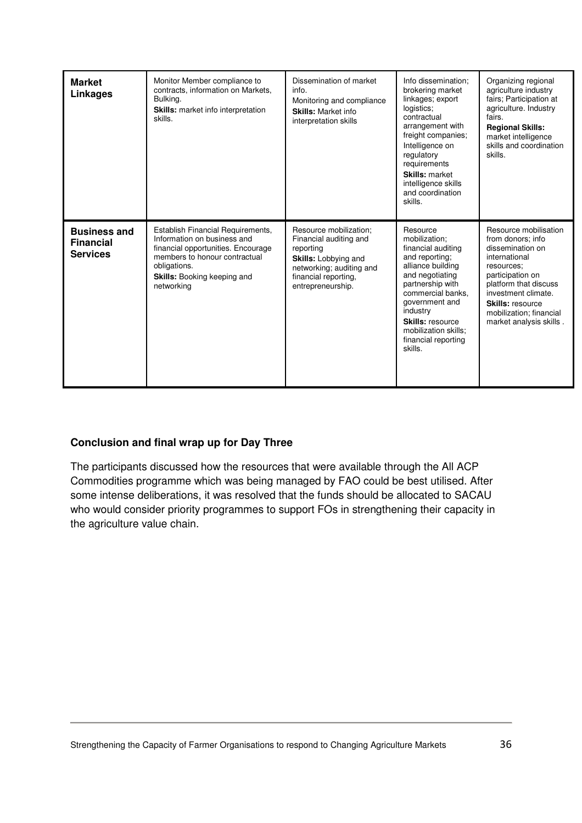| <b>Market</b><br>Linkages                                  | Monitor Member compliance to<br>contracts, information on Markets,<br>Bulkina.<br>Skills: market info interpretation<br>skills.                                                                             | Dissemination of market<br>info.<br>Monitoring and compliance<br><b>Skills: Market info</b><br>interpretation skills                                                  | Info dissemination:<br>brokering market<br>linkages; export<br>logistics;<br>contractual<br>arrangement with<br>freight companies;<br>Intelligence on<br>regulatory<br>requirements<br><b>Skills: market</b><br>intelligence skills<br>and coordination<br>skills. | Organizing regional<br>agriculture industry<br>fairs; Participation at<br>agriculture. Industry<br>fairs.<br><b>Regional Skills:</b><br>market intelligence<br>skills and coordination<br>skills.                                                  |
|------------------------------------------------------------|-------------------------------------------------------------------------------------------------------------------------------------------------------------------------------------------------------------|-----------------------------------------------------------------------------------------------------------------------------------------------------------------------|--------------------------------------------------------------------------------------------------------------------------------------------------------------------------------------------------------------------------------------------------------------------|----------------------------------------------------------------------------------------------------------------------------------------------------------------------------------------------------------------------------------------------------|
| <b>Business and</b><br><b>Financial</b><br><b>Services</b> | Establish Financial Requirements,<br>Information on business and<br>financial opportunities. Encourage<br>members to honour contractual<br>obligations.<br><b>Skills:</b> Booking keeping and<br>networking | Resource mobilization;<br>Financial auditing and<br>reporting<br><b>Skills:</b> Lobbying and<br>networking; auditing and<br>financial reporting.<br>entrepreneurship. | Resource<br>mobilization:<br>financial auditing<br>and reporting;<br>alliance building<br>and negotiating<br>partnership with<br>commercial banks.<br>government and<br>industry<br>Skills: resource<br>mobilization skills:<br>financial reporting<br>skills.     | Resource mobilisation<br>from donors; info<br>dissemination on<br>international<br>resources;<br>participation on<br>platform that discuss<br>investment climate.<br><b>Skills: resource</b><br>mobilization; financial<br>market analysis skills. |

## **Conclusion and final wrap up for Day Three**

The participants discussed how the resources that were available through the All ACP Commodities programme which was being managed by FAO could be best utilised. After some intense deliberations, it was resolved that the funds should be allocated to SACAU who would consider priority programmes to support FOs in strengthening their capacity in the agriculture value chain.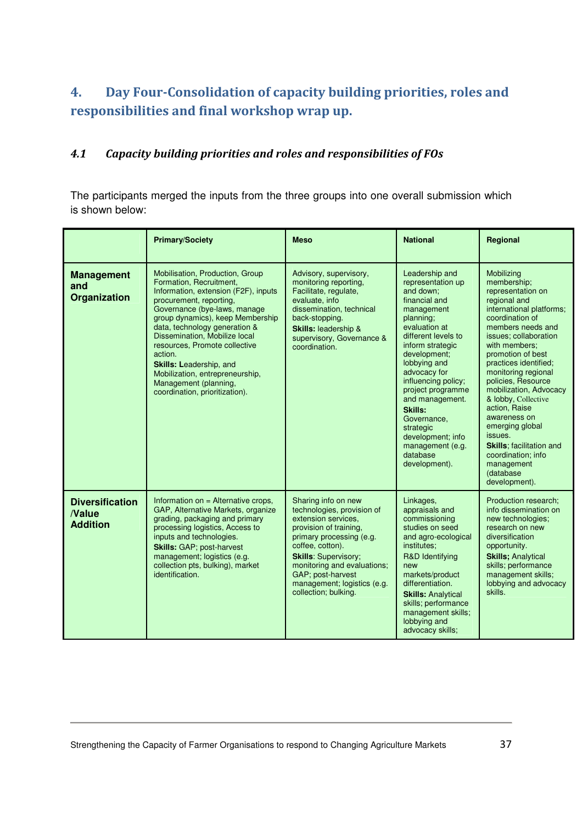# 4. Day Four-Consolidation of capacity building priorities, roles and responsibilities and final workshop wrap up.

## 4.1 Capacity building priorities and roles and responsibilities of FOs

The participants merged the inputs from the three groups into one overall submission which is shown below:

|                                                     | <b>Primary/Society</b>                                                                                                                                                                                                                                                                                                                                                                                                                          | <b>Meso</b>                                                                                                                                                                                                                                                                                  | <b>National</b>                                                                                                                                                                                                                                                                                                                                                                      | Regional                                                                                                                                                                                                                                                                                                                                                                                                                                                                                     |
|-----------------------------------------------------|-------------------------------------------------------------------------------------------------------------------------------------------------------------------------------------------------------------------------------------------------------------------------------------------------------------------------------------------------------------------------------------------------------------------------------------------------|----------------------------------------------------------------------------------------------------------------------------------------------------------------------------------------------------------------------------------------------------------------------------------------------|--------------------------------------------------------------------------------------------------------------------------------------------------------------------------------------------------------------------------------------------------------------------------------------------------------------------------------------------------------------------------------------|----------------------------------------------------------------------------------------------------------------------------------------------------------------------------------------------------------------------------------------------------------------------------------------------------------------------------------------------------------------------------------------------------------------------------------------------------------------------------------------------|
| <b>Management</b><br>and<br>Organization            | Mobilisation, Production, Group<br>Formation, Recruitment,<br>Information, extension (F2F), inputs<br>procurement, reporting,<br>Governance (bye-laws, manage<br>group dynamics), keep Membership<br>data, technology generation &<br>Dissemination, Mobilize local<br>resources, Promote collective<br>action.<br><b>Skills: Leadership, and</b><br>Mobilization, entrepreneurship,<br>Management (planning,<br>coordination, prioritization). | Advisory, supervisory,<br>monitoring reporting,<br>Facilitate, regulate,<br>evaluate, info<br>dissemination, technical<br>back-stopping.<br>Skills: leadership &<br>supervisory, Governance &<br>coordination.                                                                               | Leadership and<br>representation up<br>and down;<br>financial and<br>management<br>planning;<br>evaluation at<br>different levels to<br>inform strategic<br>development;<br>lobbying and<br>advocacy for<br>influencing policy;<br>project programme<br>and management.<br>Skills:<br>Governance.<br>strategic<br>development; info<br>management (e.g.<br>database<br>development). | Mobilizing<br>membership;<br>representation on<br>regional and<br>international platforms;<br>coordination of<br>members needs and<br>issues; collaboration<br>with members:<br>promotion of best<br>practices identified;<br>monitoring regional<br>policies, Resource<br>mobilization, Advocacy<br>& lobby, Collective<br>action, Raise<br>awareness on<br>emerging global<br>issues.<br><b>Skills: facilitation and</b><br>coordination; info<br>management<br>(database<br>development). |
| <b>Diversification</b><br>/Value<br><b>Addition</b> | Information on = Alternative crops,<br>GAP, Alternative Markets, organize<br>grading, packaging and primary<br>processing logistics, Access to<br>inputs and technologies.<br><b>Skills: GAP; post-harvest</b><br>management; logistics (e.g.<br>collection pts, bulking), market<br>identification.                                                                                                                                            | Sharing info on new<br>technologies, provision of<br>extension services.<br>provision of training.<br>primary processing (e.g.<br>coffee, cotton).<br><b>Skills: Supervisory;</b><br>monitoring and evaluations;<br>GAP; post-harvest<br>management; logistics (e.g.<br>collection; bulking. | Linkages,<br>appraisals and<br>commissioning<br>studies on seed<br>and agro-ecological<br>institutes:<br><b>R&amp;D Identifying</b><br>new<br>markets/product<br>differentiation.<br><b>Skills: Analytical</b><br>skills; performance<br>management skills;<br>lobbying and<br>advocacy skills;                                                                                      | Production research;<br>info dissemination on<br>new technologies:<br>research on new<br>diversification<br>opportunity.<br><b>Skills; Analytical</b><br>skills; performance<br>management skills;<br>lobbying and advocacy<br>skills.                                                                                                                                                                                                                                                       |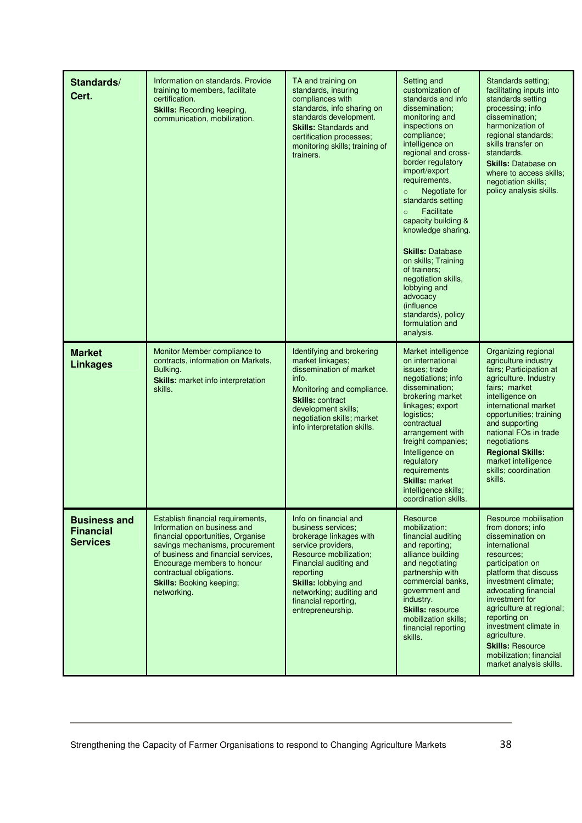| Standards/<br>Cert.                                        | Information on standards. Provide<br>training to members, facilitate<br>certification.<br><b>Skills: Recording keeping,</b><br>communication, mobilization.                                                                                                                                  | TA and training on<br>standards, insuring<br>compliances with<br>standards, info sharing on<br>standards development.<br><b>Skills: Standards and</b><br>certification processes;<br>monitoring skills; training of<br>trainers.                               | Setting and<br>customization of<br>standards and info<br>dissemination;<br>monitoring and<br>inspections on<br>compliance;<br>intelligence on<br>regional and cross-<br>border regulatory<br>import/export<br>requirements,<br>Negotiate for<br>$\circ$<br>standards setting<br>Facilitate<br>$\circ$<br>capacity building &<br>knowledge sharing.<br><b>Skills: Database</b><br>on skills; Training<br>of trainers:<br>negotiation skills,<br>lobbying and<br>advocacy<br>(influence<br>standards), policy<br>formulation and<br>analysis. | Standards setting;<br>facilitating inputs into<br>standards setting<br>processing; info<br>dissemination;<br>harmonization of<br>regional standards;<br>skills transfer on<br>standards.<br><b>Skills: Database on</b><br>where to access skills;<br>negotiation skills;<br>policy analysis skills.                                                                               |
|------------------------------------------------------------|----------------------------------------------------------------------------------------------------------------------------------------------------------------------------------------------------------------------------------------------------------------------------------------------|----------------------------------------------------------------------------------------------------------------------------------------------------------------------------------------------------------------------------------------------------------------|---------------------------------------------------------------------------------------------------------------------------------------------------------------------------------------------------------------------------------------------------------------------------------------------------------------------------------------------------------------------------------------------------------------------------------------------------------------------------------------------------------------------------------------------|-----------------------------------------------------------------------------------------------------------------------------------------------------------------------------------------------------------------------------------------------------------------------------------------------------------------------------------------------------------------------------------|
| <b>Market</b><br><b>Linkages</b>                           | Monitor Member compliance to<br>contracts, information on Markets,<br>Bulking.<br><b>Skills:</b> market info interpretation<br>skills.                                                                                                                                                       | Identifying and brokering<br>market linkages;<br>dissemination of market<br>info.<br>Monitoring and compliance.<br><b>Skills: contract</b><br>development skills;<br>negotiation skills; market<br>info interpretation skills.                                 | Market intelligence<br>on international<br>issues; trade<br>negotiations; info<br>dissemination;<br>brokering market<br>linkages; export<br>logistics;<br>contractual<br>arrangement with<br>freight companies;<br>Intelligence on<br>regulatory<br>requirements<br><b>Skills: market</b><br>intelligence skills;<br>coordination skills.                                                                                                                                                                                                   | Organizing regional<br>agriculture industry<br>fairs; Participation at<br>agriculture. Industry<br>fairs; market<br>intelligence on<br>international market<br>opportunities; training<br>and supporting<br>national FOs in trade<br>negotiations<br><b>Regional Skills:</b><br>market intelligence<br>skills; coordination<br>skills.                                            |
| <b>Business and</b><br><b>Financial</b><br><b>Services</b> | Establish financial requirements,<br>Information on business and<br>financial opportunities, Organise<br>savings mechanisms, procurement<br>of business and financial services,<br>Encourage members to honour<br>contractual obligations.<br><b>Skills:</b> Booking keeping;<br>networking. | Info on financial and<br>business services:<br>brokerage linkages with<br>service providers,<br>Resource mobilization;<br>Financial auditing and<br>reporting<br>Skills: lobbying and<br>networking; auditing and<br>financial reporting,<br>entrepreneurship. | Resource<br>mobilization:<br>financial auditing<br>and reporting;<br>alliance building<br>and negotiating<br>partnership with<br>commercial banks,<br>government and<br>industry.<br><b>Skills: resource</b><br>mobilization skills:<br>financial reporting<br>skills.                                                                                                                                                                                                                                                                      | Resource mobilisation<br>from donors; info<br>dissemination on<br>international<br>resources;<br>participation on<br>platform that discuss<br>investment climate:<br>advocating financial<br>investment for<br>agriculture at regional;<br>reporting on<br>investment climate in<br>agriculture.<br><b>Skills: Resource</b><br>mobilization; financial<br>market analysis skills. |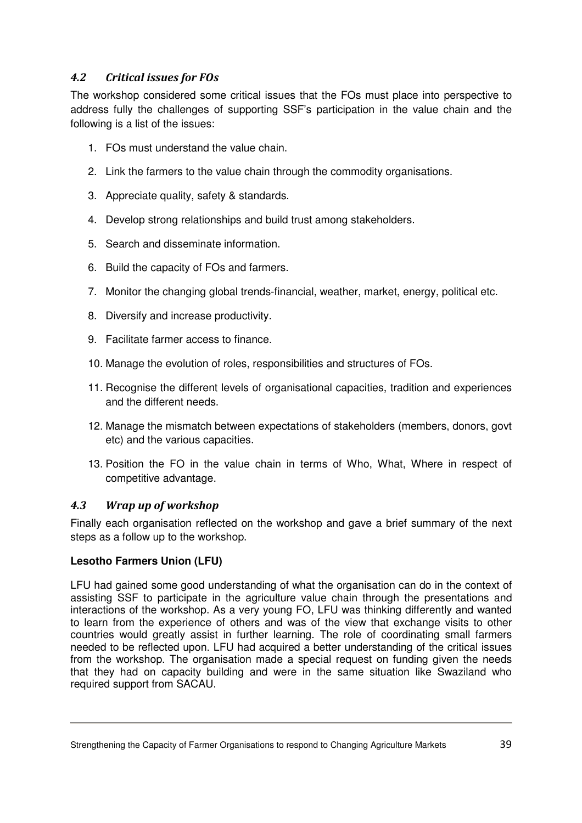## 4.2 Critical issues for FOs

The workshop considered some critical issues that the FOs must place into perspective to address fully the challenges of supporting SSF's participation in the value chain and the following is a list of the issues:

- 1. FOs must understand the value chain.
- 2. Link the farmers to the value chain through the commodity organisations.
- 3. Appreciate quality, safety & standards.
- 4. Develop strong relationships and build trust among stakeholders.
- 5. Search and disseminate information.
- 6. Build the capacity of FOs and farmers.
- 7. Monitor the changing global trends-financial, weather, market, energy, political etc.
- 8. Diversify and increase productivity.
- 9. Facilitate farmer access to finance.
- 10. Manage the evolution of roles, responsibilities and structures of FOs.
- 11. Recognise the different levels of organisational capacities, tradition and experiences and the different needs.
- 12. Manage the mismatch between expectations of stakeholders (members, donors, govt etc) and the various capacities.
- 13. Position the FO in the value chain in terms of Who, What, Where in respect of competitive advantage.

## 4.3 Wrap up of workshop

Finally each organisation reflected on the workshop and gave a brief summary of the next steps as a follow up to the workshop.

## **Lesotho Farmers Union (LFU)**

LFU had gained some good understanding of what the organisation can do in the context of assisting SSF to participate in the agriculture value chain through the presentations and interactions of the workshop. As a very young FO, LFU was thinking differently and wanted to learn from the experience of others and was of the view that exchange visits to other countries would greatly assist in further learning. The role of coordinating small farmers needed to be reflected upon. LFU had acquired a better understanding of the critical issues from the workshop. The organisation made a special request on funding given the needs that they had on capacity building and were in the same situation like Swaziland who required support from SACAU.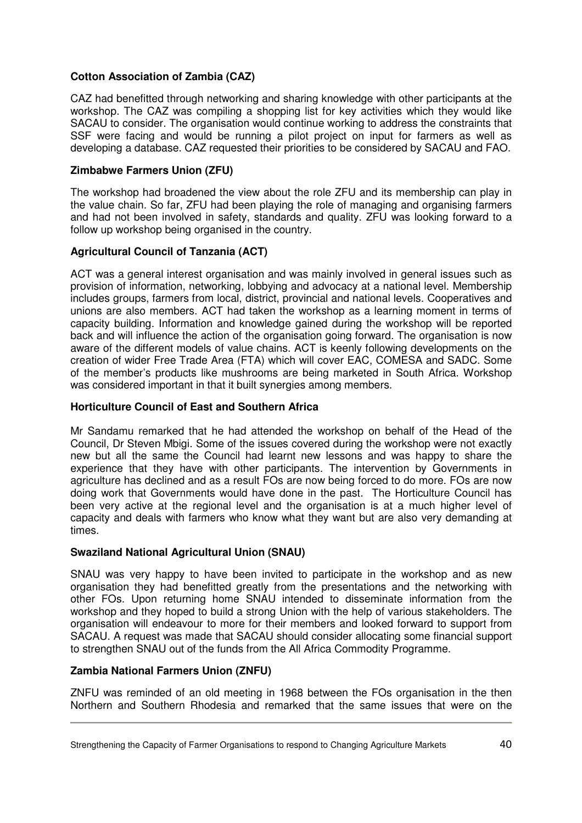## **Cotton Association of Zambia (CAZ)**

CAZ had benefitted through networking and sharing knowledge with other participants at the workshop. The CAZ was compiling a shopping list for key activities which they would like SACAU to consider. The organisation would continue working to address the constraints that SSF were facing and would be running a pilot project on input for farmers as well as developing a database. CAZ requested their priorities to be considered by SACAU and FAO.

#### **Zimbabwe Farmers Union (ZFU)**

The workshop had broadened the view about the role ZFU and its membership can play in the value chain. So far, ZFU had been playing the role of managing and organising farmers and had not been involved in safety, standards and quality. ZFU was looking forward to a follow up workshop being organised in the country.

#### **Agricultural Council of Tanzania (ACT)**

ACT was a general interest organisation and was mainly involved in general issues such as provision of information, networking, lobbying and advocacy at a national level. Membership includes groups, farmers from local, district, provincial and national levels. Cooperatives and unions are also members. ACT had taken the workshop as a learning moment in terms of capacity building. Information and knowledge gained during the workshop will be reported back and will influence the action of the organisation going forward. The organisation is now aware of the different models of value chains. ACT is keenly following developments on the creation of wider Free Trade Area (FTA) which will cover EAC, COMESA and SADC. Some of the member's products like mushrooms are being marketed in South Africa. Workshop was considered important in that it built synergies among members.

#### **Horticulture Council of East and Southern Africa**

Mr Sandamu remarked that he had attended the workshop on behalf of the Head of the Council, Dr Steven Mbigi. Some of the issues covered during the workshop were not exactly new but all the same the Council had learnt new lessons and was happy to share the experience that they have with other participants. The intervention by Governments in agriculture has declined and as a result FOs are now being forced to do more. FOs are now doing work that Governments would have done in the past. The Horticulture Council has been very active at the regional level and the organisation is at a much higher level of capacity and deals with farmers who know what they want but are also very demanding at times.

#### **Swaziland National Agricultural Union (SNAU)**

SNAU was very happy to have been invited to participate in the workshop and as new organisation they had benefitted greatly from the presentations and the networking with other FOs. Upon returning home SNAU intended to disseminate information from the workshop and they hoped to build a strong Union with the help of various stakeholders. The organisation will endeavour to more for their members and looked forward to support from SACAU. A request was made that SACAU should consider allocating some financial support to strengthen SNAU out of the funds from the All Africa Commodity Programme.

#### **Zambia National Farmers Union (ZNFU)**

ZNFU was reminded of an old meeting in 1968 between the FOs organisation in the then Northern and Southern Rhodesia and remarked that the same issues that were on the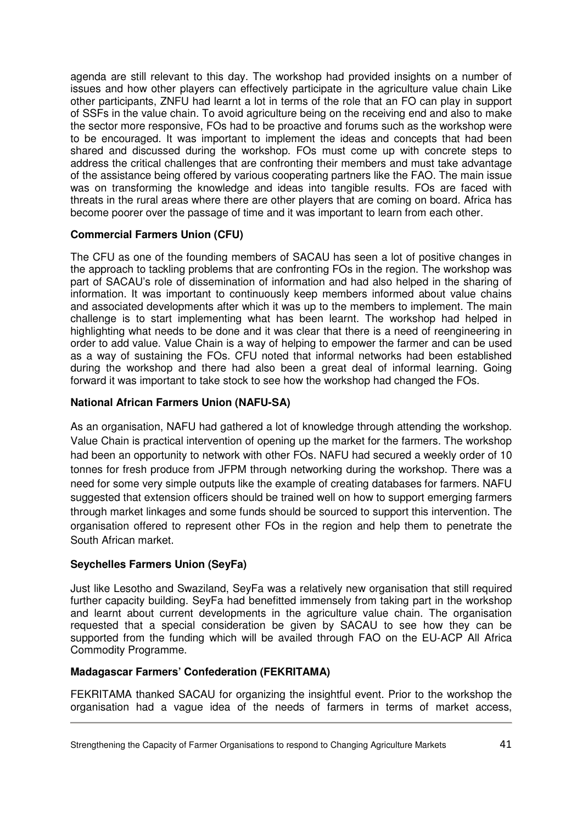agenda are still relevant to this day. The workshop had provided insights on a number of issues and how other players can effectively participate in the agriculture value chain Like other participants, ZNFU had learnt a lot in terms of the role that an FO can play in support of SSFs in the value chain. To avoid agriculture being on the receiving end and also to make the sector more responsive, FOs had to be proactive and forums such as the workshop were to be encouraged. It was important to implement the ideas and concepts that had been shared and discussed during the workshop. FOs must come up with concrete steps to address the critical challenges that are confronting their members and must take advantage of the assistance being offered by various cooperating partners like the FAO. The main issue was on transforming the knowledge and ideas into tangible results. FOs are faced with threats in the rural areas where there are other players that are coming on board. Africa has become poorer over the passage of time and it was important to learn from each other.

#### **Commercial Farmers Union (CFU)**

The CFU as one of the founding members of SACAU has seen a lot of positive changes in the approach to tackling problems that are confronting FOs in the region. The workshop was part of SACAU's role of dissemination of information and had also helped in the sharing of information. It was important to continuously keep members informed about value chains and associated developments after which it was up to the members to implement. The main challenge is to start implementing what has been learnt. The workshop had helped in highlighting what needs to be done and it was clear that there is a need of reengineering in order to add value. Value Chain is a way of helping to empower the farmer and can be used as a way of sustaining the FOs. CFU noted that informal networks had been established during the workshop and there had also been a great deal of informal learning. Going forward it was important to take stock to see how the workshop had changed the FOs.

## **National African Farmers Union (NAFU-SA)**

As an organisation, NAFU had gathered a lot of knowledge through attending the workshop. Value Chain is practical intervention of opening up the market for the farmers. The workshop had been an opportunity to network with other FOs. NAFU had secured a weekly order of 10 tonnes for fresh produce from JFPM through networking during the workshop. There was a need for some very simple outputs like the example of creating databases for farmers. NAFU suggested that extension officers should be trained well on how to support emerging farmers through market linkages and some funds should be sourced to support this intervention. The organisation offered to represent other FOs in the region and help them to penetrate the South African market.

## **Seychelles Farmers Union (SeyFa)**

Just like Lesotho and Swaziland, SeyFa was a relatively new organisation that still required further capacity building. SeyFa had benefitted immensely from taking part in the workshop and learnt about current developments in the agriculture value chain. The organisation requested that a special consideration be given by SACAU to see how they can be supported from the funding which will be availed through FAO on the EU-ACP All Africa Commodity Programme.

#### **Madagascar Farmers' Confederation (FEKRITAMA)**

FEKRITAMA thanked SACAU for organizing the insightful event. Prior to the workshop the organisation had a vague idea of the needs of farmers in terms of market access,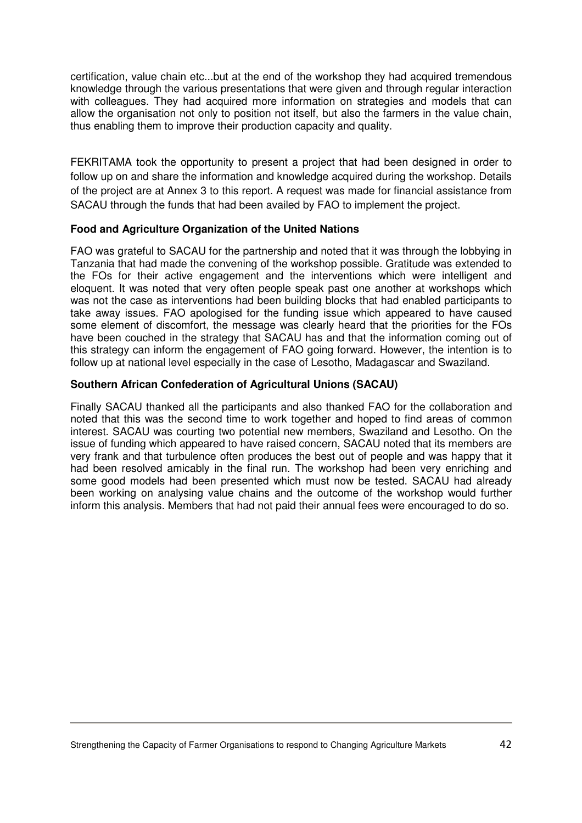certification, value chain etc...but at the end of the workshop they had acquired tremendous knowledge through the various presentations that were given and through regular interaction with colleagues. They had acquired more information on strategies and models that can allow the organisation not only to position not itself, but also the farmers in the value chain, thus enabling them to improve their production capacity and quality.

FEKRITAMA took the opportunity to present a project that had been designed in order to follow up on and share the information and knowledge acquired during the workshop. Details of the project are at Annex 3 to this report. A request was made for financial assistance from SACAU through the funds that had been availed by FAO to implement the project.

#### **Food and Agriculture Organization of the United Nations**

FAO was grateful to SACAU for the partnership and noted that it was through the lobbying in Tanzania that had made the convening of the workshop possible. Gratitude was extended to the FOs for their active engagement and the interventions which were intelligent and eloquent. It was noted that very often people speak past one another at workshops which was not the case as interventions had been building blocks that had enabled participants to take away issues. FAO apologised for the funding issue which appeared to have caused some element of discomfort, the message was clearly heard that the priorities for the FOs have been couched in the strategy that SACAU has and that the information coming out of this strategy can inform the engagement of FAO going forward. However, the intention is to follow up at national level especially in the case of Lesotho, Madagascar and Swaziland.

#### **Southern African Confederation of Agricultural Unions (SACAU)**

Finally SACAU thanked all the participants and also thanked FAO for the collaboration and noted that this was the second time to work together and hoped to find areas of common interest. SACAU was courting two potential new members, Swaziland and Lesotho. On the issue of funding which appeared to have raised concern, SACAU noted that its members are very frank and that turbulence often produces the best out of people and was happy that it had been resolved amicably in the final run. The workshop had been very enriching and some good models had been presented which must now be tested. SACAU had already been working on analysing value chains and the outcome of the workshop would further inform this analysis. Members that had not paid their annual fees were encouraged to do so.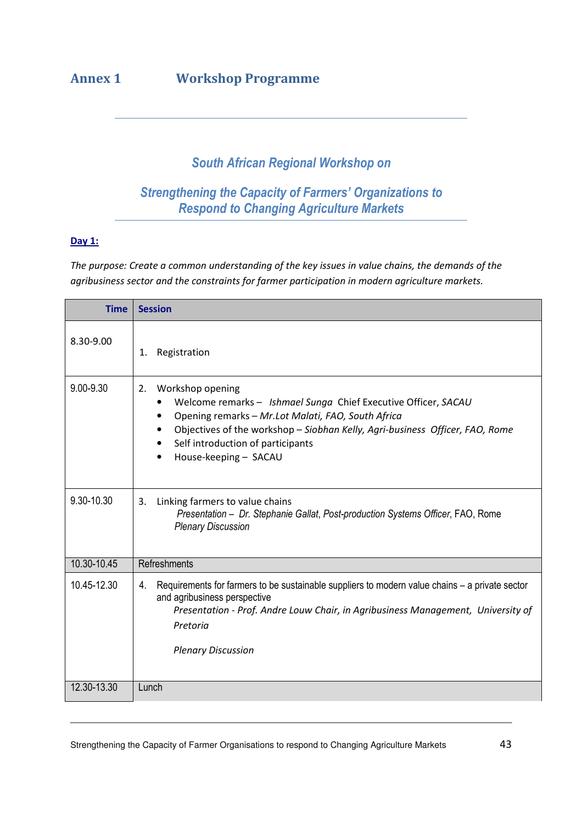# South African Regional Workshop on

Strengthening the Capacity of Farmers' Organizations to Respond to Changing Agriculture Markets

#### Day 1:

The purpose: Create a common understanding of the key issues in value chains, the demands of the agribusiness sector and the constraints for farmer participation in modern agriculture markets.

| <b>Time</b> | <b>Session</b>                                                                                                                                                                                                                                                                                |  |  |  |
|-------------|-----------------------------------------------------------------------------------------------------------------------------------------------------------------------------------------------------------------------------------------------------------------------------------------------|--|--|--|
| 8.30-9.00   | Registration<br>1.                                                                                                                                                                                                                                                                            |  |  |  |
| 9.00-9.30   | Workshop opening<br>2.<br>Welcome remarks - Ishmael Sunga Chief Executive Officer, SACAU<br>Opening remarks - Mr. Lot Malati, FAO, South Africa<br>Objectives of the workshop - Siobhan Kelly, Agri-business Officer, FAO, Rome<br>Self introduction of participants<br>House-keeping - SACAU |  |  |  |
| 9.30-10.30  | Linking farmers to value chains<br>3.<br>Presentation - Dr. Stephanie Gallat, Post-production Systems Officer, FAO, Rome<br><b>Plenary Discussion</b>                                                                                                                                         |  |  |  |
| 10.30-10.45 | <b>Refreshments</b>                                                                                                                                                                                                                                                                           |  |  |  |
| 10.45-12.30 | Requirements for farmers to be sustainable suppliers to modern value chains – a private sector<br>4.<br>and agribusiness perspective<br>Presentation - Prof. Andre Louw Chair, in Agribusiness Management, University of<br>Pretoria<br><b>Plenary Discussion</b>                             |  |  |  |
| 12.30-13.30 | Lunch                                                                                                                                                                                                                                                                                         |  |  |  |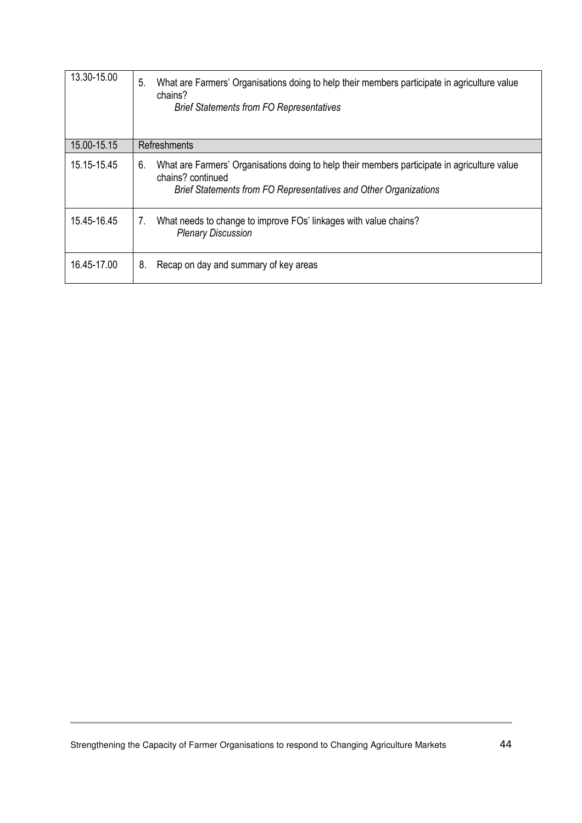| 13.30-15.00 | 5.<br>What are Farmers' Organisations doing to help their members participate in agriculture value<br>chains?<br><b>Brief Statements from FO Representatives</b>                                   |
|-------------|----------------------------------------------------------------------------------------------------------------------------------------------------------------------------------------------------|
| 15.00-15.15 | Refreshments                                                                                                                                                                                       |
| 15.15-15.45 | What are Farmers' Organisations doing to help their members participate in agriculture value<br>6.<br>chains? continued<br><b>Brief Statements from FO Representatives and Other Organizations</b> |
| 15.45-16.45 | What needs to change to improve FOs' linkages with value chains?<br>$7_{\scriptscriptstyle{\ddots}}$<br><b>Plenary Discussion</b>                                                                  |
| 16.45-17.00 | 8.<br>Recap on day and summary of key areas                                                                                                                                                        |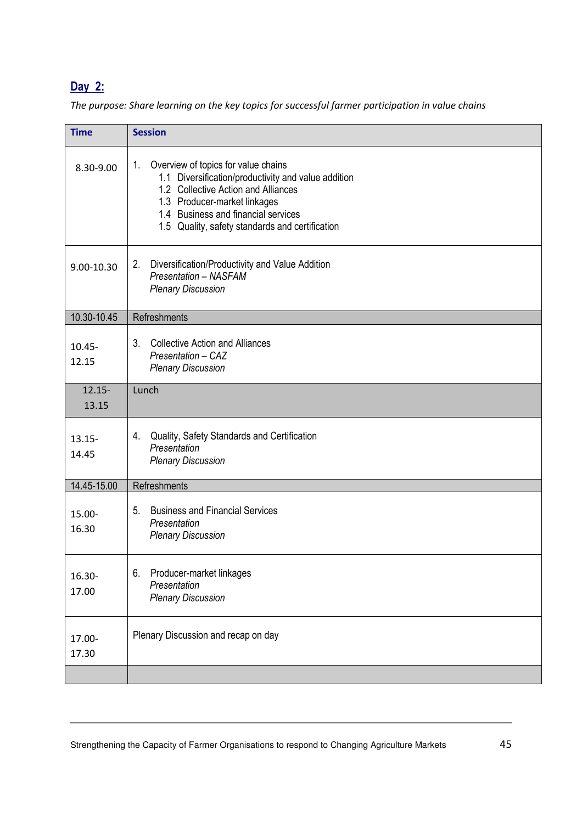# Day 2:

The purpose: Share learning on the key topics for successful farmer participation in value chains

| <b>Time</b>        | <b>Session</b>                                                                                                                                                                                                                                                             |  |  |  |
|--------------------|----------------------------------------------------------------------------------------------------------------------------------------------------------------------------------------------------------------------------------------------------------------------------|--|--|--|
| 8.30-9.00          | Overview of topics for value chains<br>$1_{\cdot}$<br>1.1 Diversification/productivity and value addition<br>1.2 Collective Action and Alliances<br>1.3 Producer-market linkages<br>1.4 Business and financial services<br>1.5 Quality, safety standards and certification |  |  |  |
| 9.00-10.30         | Diversification/Productivity and Value Addition<br>2.<br><b>Presentation - NASFAM</b><br><b>Plenary Discussion</b>                                                                                                                                                         |  |  |  |
| 10.30-10.45        | Refreshments                                                                                                                                                                                                                                                               |  |  |  |
| $10.45 -$<br>12.15 | <b>Collective Action and Alliances</b><br>3.<br>Presentation - CAZ<br><b>Plenary Discussion</b>                                                                                                                                                                            |  |  |  |
| $12.15 -$<br>13.15 | Lunch                                                                                                                                                                                                                                                                      |  |  |  |
| $13.15 -$<br>14.45 | Quality, Safety Standards and Certification<br>4.<br>Presentation<br><b>Plenary Discussion</b>                                                                                                                                                                             |  |  |  |
| 14.45-15.00        | Refreshments                                                                                                                                                                                                                                                               |  |  |  |
| 15.00-<br>16.30    | <b>Business and Financial Services</b><br>5.<br>Presentation<br><b>Plenary Discussion</b>                                                                                                                                                                                  |  |  |  |
| 16.30-<br>17.00    | 6.<br>Producer-market linkages<br>Presentation<br><b>Plenary Discussion</b>                                                                                                                                                                                                |  |  |  |
| 17.00-<br>17.30    | Plenary Discussion and recap on day                                                                                                                                                                                                                                        |  |  |  |
|                    |                                                                                                                                                                                                                                                                            |  |  |  |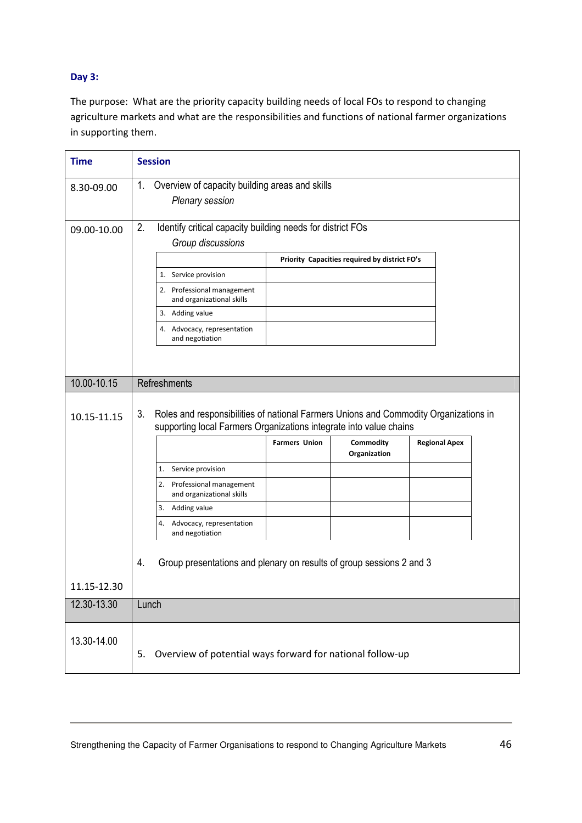#### Day 3:

The purpose: What are the priority capacity building needs of local FOs to respond to changing agriculture markets and what are the responsibilities and functions of national farmer organizations in supporting them.

| <b>Time</b> | <b>Session</b>                                                                                                                                                   |  |  |  |  |
|-------------|------------------------------------------------------------------------------------------------------------------------------------------------------------------|--|--|--|--|
| 8.30-09.00  | Overview of capacity building areas and skills<br>1.<br><b>Plenary session</b>                                                                                   |  |  |  |  |
| 09.00-10.00 | 2.<br>Identify critical capacity building needs for district FOs<br>Group discussions                                                                            |  |  |  |  |
|             | Priority Capacities required by district FO's                                                                                                                    |  |  |  |  |
|             | 1. Service provision                                                                                                                                             |  |  |  |  |
|             | 2. Professional management<br>and organizational skills                                                                                                          |  |  |  |  |
|             | 3. Adding value                                                                                                                                                  |  |  |  |  |
|             | 4. Advocacy, representation<br>and negotiation                                                                                                                   |  |  |  |  |
|             |                                                                                                                                                                  |  |  |  |  |
| 10.00-10.15 | Refreshments                                                                                                                                                     |  |  |  |  |
| 10.15-11.15 | 3.<br>Roles and responsibilities of national Farmers Unions and Commodity Organizations in<br>supporting local Farmers Organizations integrate into value chains |  |  |  |  |
|             | <b>Farmers Union</b><br>Commodity<br><b>Regional Apex</b><br>Organization                                                                                        |  |  |  |  |
|             | 1. Service provision                                                                                                                                             |  |  |  |  |
|             | 2. Professional management<br>and organizational skills                                                                                                          |  |  |  |  |
|             | 3. Adding value                                                                                                                                                  |  |  |  |  |
|             | 4. Advocacy, representation<br>and negotiation                                                                                                                   |  |  |  |  |
|             | 4.<br>Group presentations and plenary on results of group sessions 2 and 3                                                                                       |  |  |  |  |
| 11.15-12.30 |                                                                                                                                                                  |  |  |  |  |
| 12.30-13.30 | Lunch                                                                                                                                                            |  |  |  |  |
| 13.30-14.00 | Overview of potential ways forward for national follow-up<br>5.                                                                                                  |  |  |  |  |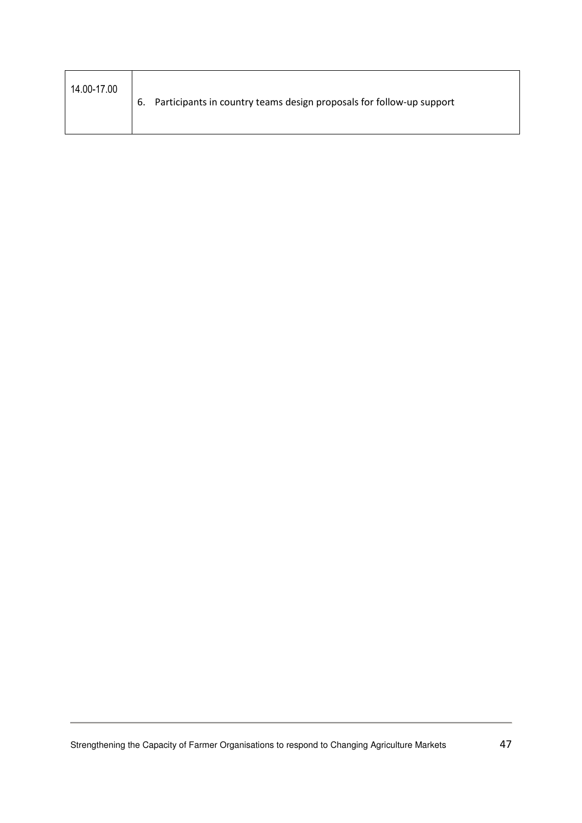| 14.00-17.00 | 6. Participants in country teams design proposals for follow-up support |
|-------------|-------------------------------------------------------------------------|
|             |                                                                         |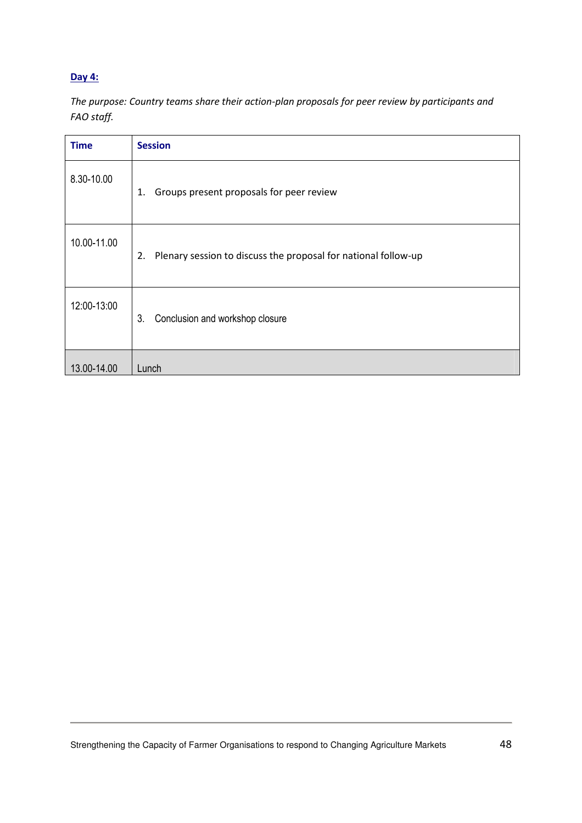#### Day 4:

The purpose: Country teams share their action-plan proposals for peer review by participants and FAO staff.

| <b>Time</b> | <b>Session</b>                                                       |
|-------------|----------------------------------------------------------------------|
| 8.30-10.00  | Groups present proposals for peer review<br>1.                       |
| 10.00-11.00 | Plenary session to discuss the proposal for national follow-up<br>2. |
| 12:00-13:00 | 3.<br>Conclusion and workshop closure                                |
| 13.00-14.00 | Lunch                                                                |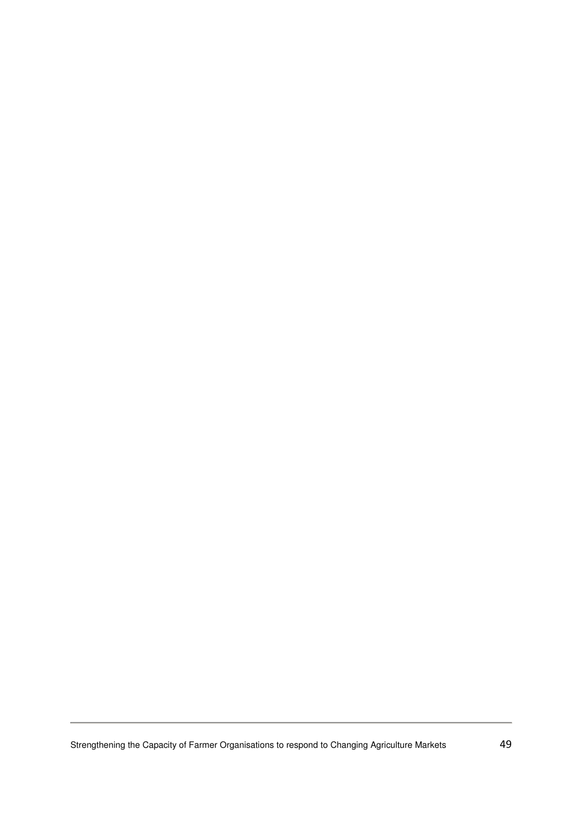Strengthening the Capacity of Farmer Organisations to respond to Changing Agriculture Markets 49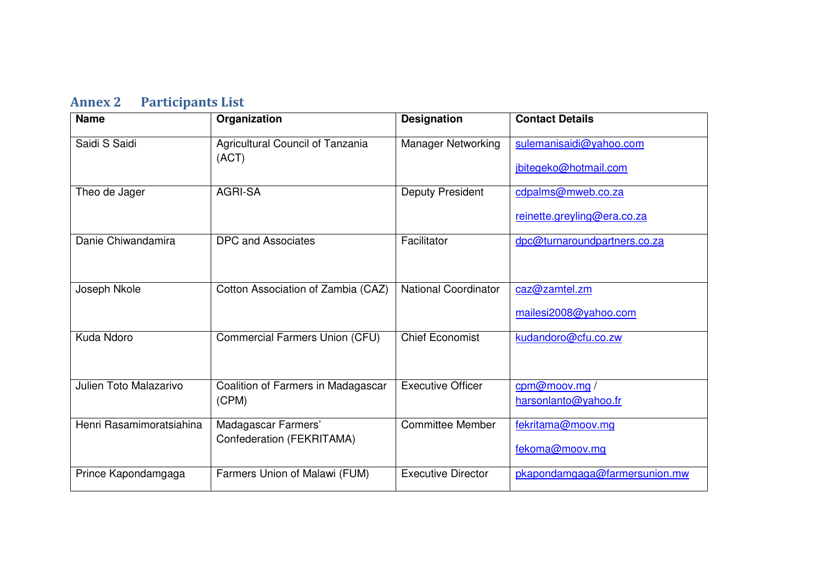## Annex 2 Participants List

| <b>Name</b>              | Organization                                     | <b>Designation</b>          | <b>Contact Details</b>                            |
|--------------------------|--------------------------------------------------|-----------------------------|---------------------------------------------------|
| Saidi S Saidi            | Agricultural Council of Tanzania<br>(ACT)        | <b>Manager Networking</b>   | sulemanisaidi@yahoo.com<br>jbitegeko@hotmail.com  |
| Theo de Jager            | <b>AGRI-SA</b>                                   | Deputy President            | cdpalms@mweb.co.za<br>reinette.greyling@era.co.za |
| Danie Chiwandamira       | <b>DPC and Associates</b>                        | Facilitator                 | dpc@turnaroundpartners.co.za                      |
| Joseph Nkole             | Cotton Association of Zambia (CAZ)               | <b>National Coordinator</b> | caz@zamtel.zm<br>mailesi2008@yahoo.com            |
| Kuda Ndoro               | Commercial Farmers Union (CFU)                   | <b>Chief Economist</b>      | kudandoro@cfu.co.zw                               |
| Julien Toto Malazarivo   | Coalition of Farmers in Madagascar<br>(CPM)      | <b>Executive Officer</b>    | cpm@moov.mg/<br>harsonlanto@yahoo.fr              |
| Henri Rasamimoratsiahina | Madagascar Farmers'<br>Confederation (FEKRITAMA) | <b>Committee Member</b>     | fekritama@moov.mq<br>fekoma@moov.mg               |
| Prince Kapondamgaga      | Farmers Union of Malawi (FUM)                    | <b>Executive Director</b>   | pkapondamgaga@farmersunion.mw                     |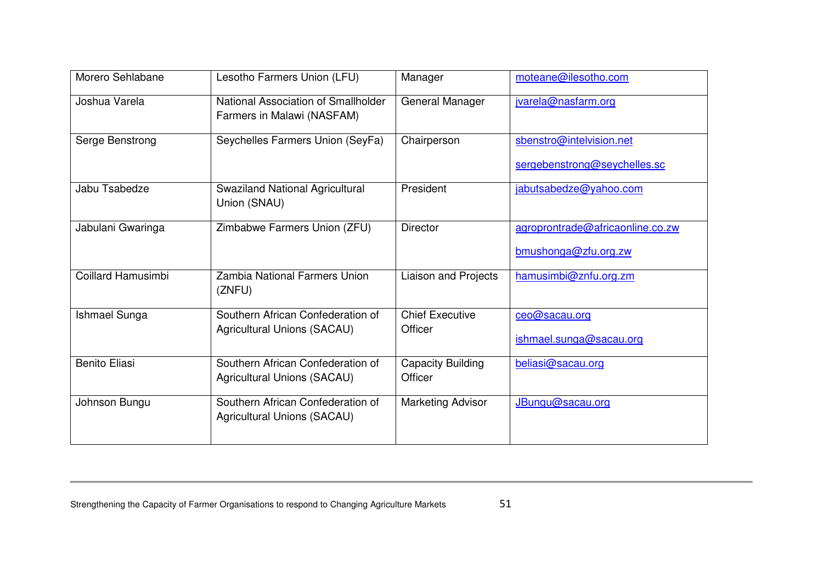| Morero Sehlabane     | Lesotho Farmers Union (LFU)                                       | Manager                             | moteane@ilesotho.com                                     |
|----------------------|-------------------------------------------------------------------|-------------------------------------|----------------------------------------------------------|
| Joshua Varela        | National Association of Smallholder<br>Farmers in Malawi (NASFAM) | General Manager                     | jvarela@nasfarm.org                                      |
| Serge Benstrong      | Seychelles Farmers Union (SeyFa)                                  | Chairperson                         | sbenstro@intelvision.net<br>sergebenstrong@seychelles.sc |
| Jabu Tsabedze        | <b>Swaziland National Agricultural</b><br>Union (SNAU)            | President                           | jabutsabedze@yahoo.com                                   |
| Jabulani Gwaringa    | Zimbabwe Farmers Union (ZFU)                                      | <b>Director</b>                     | agroprontrade@africaonline.co.zw<br>bmushonga@zfu.org.zw |
| Coillard Hamusimbi   | <b>Zambia National Farmers Union</b><br>(ZNFU)                    | <b>Liaison and Projects</b>         | hamusimbi@znfu.org.zm                                    |
| Ishmael Sunga        | Southern African Confederation of<br>Agricultural Unions (SACAU)  | <b>Chief Executive</b><br>Officer   | ceo@sacau.org<br>ishmael.sunga@sacau.org                 |
| <b>Benito Eliasi</b> | Southern African Confederation of<br>Agricultural Unions (SACAU)  | <b>Capacity Building</b><br>Officer | beliasi@sacau.org                                        |
| Johnson Bungu        | Southern African Confederation of<br>Agricultural Unions (SACAU)  | <b>Marketing Advisor</b>            | JBungu@sacau.org                                         |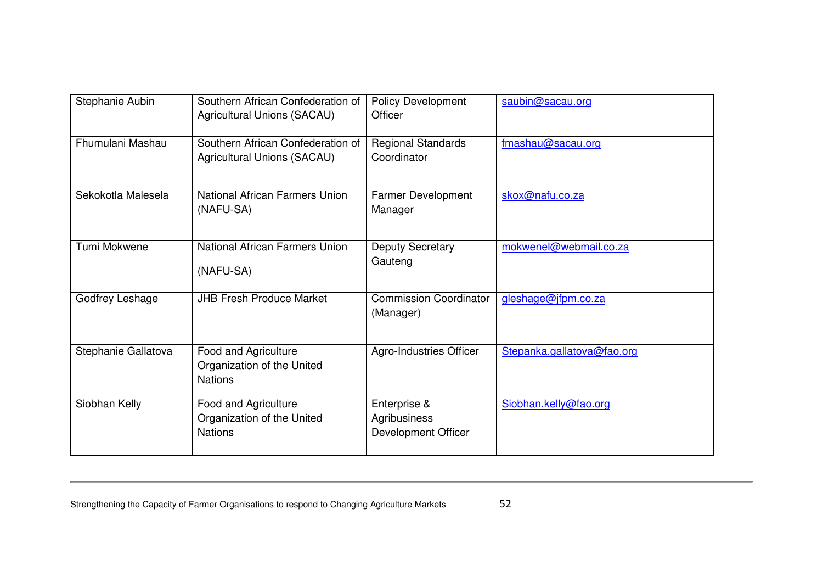| Stephanie Aubin     | Southern African Confederation of<br><b>Agricultural Unions (SACAU)</b> | <b>Policy Development</b><br>Officer                | saubin@sacau.org           |
|---------------------|-------------------------------------------------------------------------|-----------------------------------------------------|----------------------------|
| Fhumulani Mashau    | Southern African Confederation of<br>Agricultural Unions (SACAU)        | <b>Regional Standards</b><br>Coordinator            | fmashau@sacau.org          |
| Sekokotla Malesela  | <b>National African Farmers Union</b><br>(NAFU-SA)                      | <b>Farmer Development</b><br>Manager                | skox@nafu.co.za            |
| Tumi Mokwene        | National African Farmers Union<br>(NAFU-SA)                             | <b>Deputy Secretary</b><br>Gauteng                  | mokwenel@webmail.co.za     |
| Godfrey Leshage     | <b>JHB Fresh Produce Market</b>                                         | <b>Commission Coordinator</b><br>(Manager)          | gleshage@jfpm.co.za        |
| Stephanie Gallatova | Food and Agriculture<br>Organization of the United<br><b>Nations</b>    | Agro-Industries Officer                             | Stepanka.gallatova@fao.org |
| Siobhan Kelly       | Food and Agriculture<br>Organization of the United<br><b>Nations</b>    | Enterprise &<br>Agribusiness<br>Development Officer | Siobhan.kelly@fao.org      |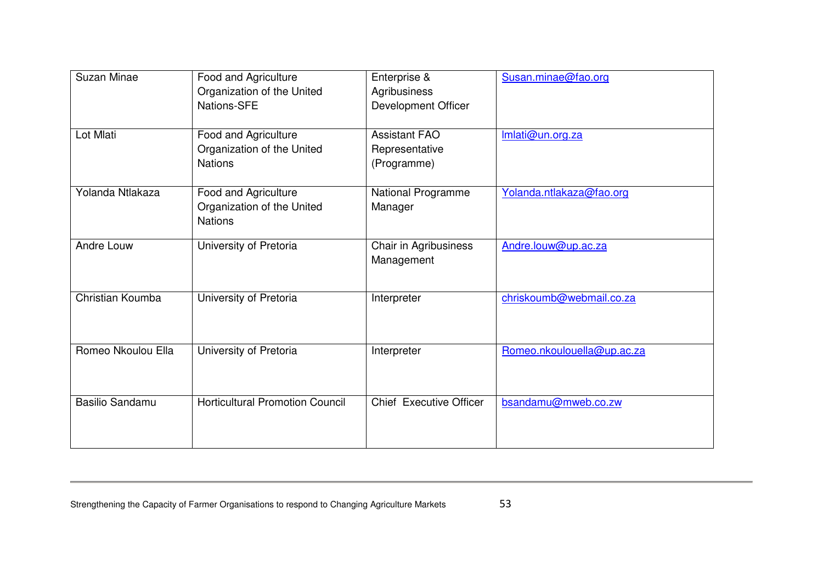| Suzan Minae        | Food and Agriculture<br>Organization of the United<br>Nations-SFE    | Enterprise &<br>Agribusiness<br>Development Officer   | Susan.minae@fao.org        |
|--------------------|----------------------------------------------------------------------|-------------------------------------------------------|----------------------------|
| Lot Mlati          | Food and Agriculture<br>Organization of the United<br><b>Nations</b> | <b>Assistant FAO</b><br>Representative<br>(Programme) | Imlati@un.org.za           |
| Yolanda Ntlakaza   | Food and Agriculture<br>Organization of the United<br><b>Nations</b> | National Programme<br>Manager                         | Yolanda.ntlakaza@fao.org   |
| <b>Andre Louw</b>  | University of Pretoria                                               | Chair in Agribusiness<br>Management                   | Andre.louw@up.ac.za        |
| Christian Koumba   | University of Pretoria                                               | Interpreter                                           | chriskoumb@webmail.co.za   |
| Romeo Nkoulou Ella | University of Pretoria                                               | Interpreter                                           | Romeo.nkoulouella@up.ac.za |
| Basilio Sandamu    | Horticultural Promotion Council                                      | <b>Chief Executive Officer</b>                        | bsandamu@mweb.co.zw        |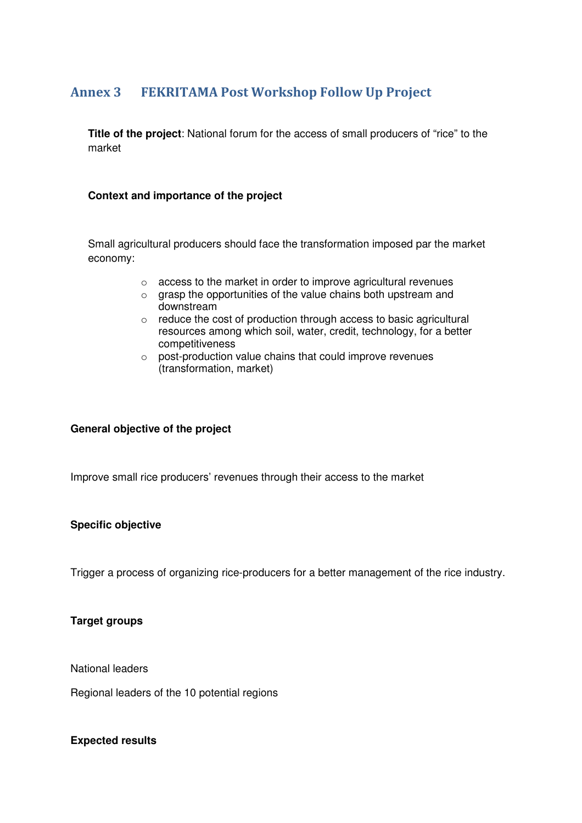# Annex 3 FEKRITAMA Post Workshop Follow Up Project

**Title of the project**: National forum for the access of small producers of "rice" to the market

#### **Context and importance of the project**

Small agricultural producers should face the transformation imposed par the market economy:

- o access to the market in order to improve agricultural revenues
- $\circ$  grasp the opportunities of the value chains both upstream and downstream
- o reduce the cost of production through access to basic agricultural resources among which soil, water, credit, technology, for a better competitiveness
- o post-production value chains that could improve revenues (transformation, market)

#### **General objective of the project**

Improve small rice producers' revenues through their access to the market

#### **Specific objective**

Trigger a process of organizing rice-producers for a better management of the rice industry.

#### **Target groups**

National leaders

Regional leaders of the 10 potential regions

#### **Expected results**